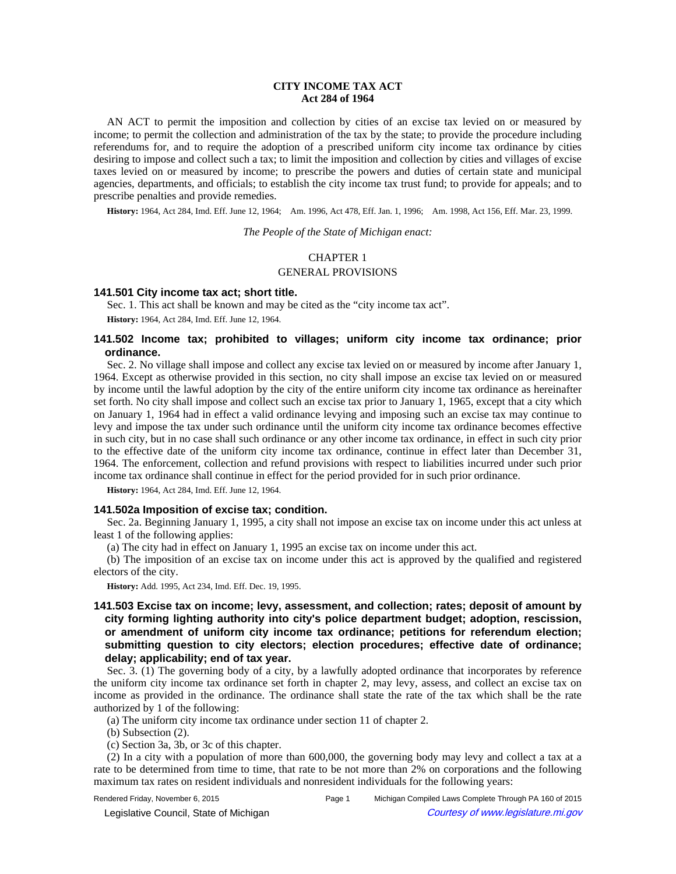# **CITY INCOME TAX ACT Act 284 of 1964**

AN ACT to permit the imposition and collection by cities of an excise tax levied on or measured by income; to permit the collection and administration of the tax by the state; to provide the procedure including referendums for, and to require the adoption of a prescribed uniform city income tax ordinance by cities desiring to impose and collect such a tax; to limit the imposition and collection by cities and villages of excise taxes levied on or measured by income; to prescribe the powers and duties of certain state and municipal agencies, departments, and officials; to establish the city income tax trust fund; to provide for appeals; and to prescribe penalties and provide remedies.

History: 1964, Act 284, Imd. Eff. June 12, 1964;—Am. 1996, Act 478, Eff. Jan. 1, 1996;—Am. 1998, Act 156, Eff. Mar. 23, 1999.

*The People of the State of Michigan enact:*

# CHAPTER 1

## GENERAL PROVISIONS

# **141.501 City income tax act; short title.**

Sec. 1. This act shall be known and may be cited as the "city income tax act".

**History:** 1964, Act 284, Imd. Eff. June 12, 1964.

# **141.502 Income tax; prohibited to villages; uniform city income tax ordinance; prior ordinance.**

Sec. 2. No village shall impose and collect any excise tax levied on or measured by income after January 1, 1964. Except as otherwise provided in this section, no city shall impose an excise tax levied on or measured by income until the lawful adoption by the city of the entire uniform city income tax ordinance as hereinafter set forth. No city shall impose and collect such an excise tax prior to January 1, 1965, except that a city which on January 1, 1964 had in effect a valid ordinance levying and imposing such an excise tax may continue to levy and impose the tax under such ordinance until the uniform city income tax ordinance becomes effective in such city, but in no case shall such ordinance or any other income tax ordinance, in effect in such city prior to the effective date of the uniform city income tax ordinance, continue in effect later than December 31, 1964. The enforcement, collection and refund provisions with respect to liabilities incurred under such prior income tax ordinance shall continue in effect for the period provided for in such prior ordinance.

**History:** 1964, Act 284, Imd. Eff. June 12, 1964.

## **141.502a Imposition of excise tax; condition.**

Sec. 2a. Beginning January 1, 1995, a city shall not impose an excise tax on income under this act unless at least 1 of the following applies:

(a) The city had in effect on January 1, 1995 an excise tax on income under this act.

(b) The imposition of an excise tax on income under this act is approved by the qualified and registered electors of the city.

**History:** Add. 1995, Act 234, Imd. Eff. Dec. 19, 1995.

# **141.503 Excise tax on income; levy, assessment, and collection; rates; deposit of amount by city forming lighting authority into city's police department budget; adoption, rescission, or amendment of uniform city income tax ordinance; petitions for referendum election; submitting question to city electors; election procedures; effective date of ordinance; delay; applicability; end of tax year.**

Sec. 3. (1) The governing body of a city, by a lawfully adopted ordinance that incorporates by reference the uniform city income tax ordinance set forth in chapter 2, may levy, assess, and collect an excise tax on income as provided in the ordinance. The ordinance shall state the rate of the tax which shall be the rate authorized by 1 of the following:

(a) The uniform city income tax ordinance under section 11 of chapter 2.

(b) Subsection (2).

(c) Section 3a, 3b, or 3c of this chapter.

(2) In a city with a population of more than 600,000, the governing body may levy and collect a tax at a rate to be determined from time to time, that rate to be not more than 2% on corporations and the following maximum tax rates on resident individuals and nonresident individuals for the following years:

© Legislative Council, State of Michigan Council Courtesy of www.legislature.mi.gov

Rendered Friday, November 6, 2015 Page 1 Michigan Compiled Laws Complete Through PA 160 of 2015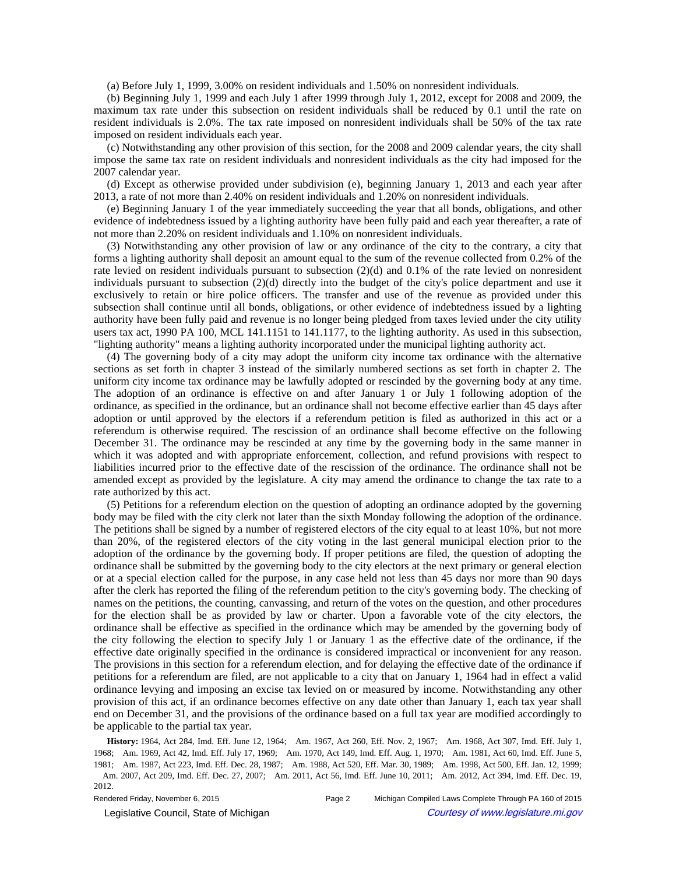(a) Before July 1, 1999, 3.00% on resident individuals and 1.50% on nonresident individuals.

(b) Beginning July 1, 1999 and each July 1 after 1999 through July 1, 2012, except for 2008 and 2009, the maximum tax rate under this subsection on resident individuals shall be reduced by 0.1 until the rate on resident individuals is 2.0%. The tax rate imposed on nonresident individuals shall be 50% of the tax rate imposed on resident individuals each year.

(c) Notwithstanding any other provision of this section, for the 2008 and 2009 calendar years, the city shall impose the same tax rate on resident individuals and nonresident individuals as the city had imposed for the 2007 calendar year.

(d) Except as otherwise provided under subdivision (e), beginning January 1, 2013 and each year after 2013, a rate of not more than 2.40% on resident individuals and 1.20% on nonresident individuals.

(e) Beginning January 1 of the year immediately succeeding the year that all bonds, obligations, and other evidence of indebtedness issued by a lighting authority have been fully paid and each year thereafter, a rate of not more than 2.20% on resident individuals and 1.10% on nonresident individuals.

(3) Notwithstanding any other provision of law or any ordinance of the city to the contrary, a city that forms a lighting authority shall deposit an amount equal to the sum of the revenue collected from 0.2% of the rate levied on resident individuals pursuant to subsection (2)(d) and 0.1% of the rate levied on nonresident individuals pursuant to subsection (2)(d) directly into the budget of the city's police department and use it exclusively to retain or hire police officers. The transfer and use of the revenue as provided under this subsection shall continue until all bonds, obligations, or other evidence of indebtedness issued by a lighting authority have been fully paid and revenue is no longer being pledged from taxes levied under the city utility users tax act, 1990 PA 100, MCL 141.1151 to 141.1177, to the lighting authority. As used in this subsection, "lighting authority" means a lighting authority incorporated under the municipal lighting authority act.

(4) The governing body of a city may adopt the uniform city income tax ordinance with the alternative sections as set forth in chapter 3 instead of the similarly numbered sections as set forth in chapter 2. The uniform city income tax ordinance may be lawfully adopted or rescinded by the governing body at any time. The adoption of an ordinance is effective on and after January 1 or July 1 following adoption of the ordinance, as specified in the ordinance, but an ordinance shall not become effective earlier than 45 days after adoption or until approved by the electors if a referendum petition is filed as authorized in this act or a referendum is otherwise required. The rescission of an ordinance shall become effective on the following December 31. The ordinance may be rescinded at any time by the governing body in the same manner in which it was adopted and with appropriate enforcement, collection, and refund provisions with respect to liabilities incurred prior to the effective date of the rescission of the ordinance. The ordinance shall not be amended except as provided by the legislature. A city may amend the ordinance to change the tax rate to a rate authorized by this act.

(5) Petitions for a referendum election on the question of adopting an ordinance adopted by the governing body may be filed with the city clerk not later than the sixth Monday following the adoption of the ordinance. The petitions shall be signed by a number of registered electors of the city equal to at least 10%, but not more than 20%, of the registered electors of the city voting in the last general municipal election prior to the adoption of the ordinance by the governing body. If proper petitions are filed, the question of adopting the ordinance shall be submitted by the governing body to the city electors at the next primary or general election or at a special election called for the purpose, in any case held not less than 45 days nor more than 90 days after the clerk has reported the filing of the referendum petition to the city's governing body. The checking of names on the petitions, the counting, canvassing, and return of the votes on the question, and other procedures for the election shall be as provided by law or charter. Upon a favorable vote of the city electors, the ordinance shall be effective as specified in the ordinance which may be amended by the governing body of the city following the election to specify July 1 or January 1 as the effective date of the ordinance, if the effective date originally specified in the ordinance is considered impractical or inconvenient for any reason. The provisions in this section for a referendum election, and for delaying the effective date of the ordinance if petitions for a referendum are filed, are not applicable to a city that on January 1, 1964 had in effect a valid ordinance levying and imposing an excise tax levied on or measured by income. Notwithstanding any other provision of this act, if an ordinance becomes effective on any date other than January 1, each tax year shall end on December 31, and the provisions of the ordinance based on a full tax year are modified accordingly to be applicable to the partial tax year.

History: 1964, Act 284, Imd. Eff. June 12, 1964;--Am. 1967, Act 260, Eff. Nov. 2, 1967;--Am. 1968, Act 307, Imd. Eff. July 1, 1968;—Am. 1969, Act 42, Imd. Eff. July 17, 1969;—Am. 1970, Act 149, Imd. Eff. Aug. 1, 1970;—Am. 1981, Act 60, Imd. Eff. June 5, 1981;-Am. 1987, Act 223, Imd. Eff. Dec. 28, 1987;-Am. 1988, Act 520, Eff. Mar. 30, 1989;-Am. 1998, Act 500, Eff. Jan. 12, 1999; -Am. 2007, Act 209, Imd. Eff. Dec. 27, 2007;--Am. 2011, Act 56, Imd. Eff. June 10, 2011;--Am. 2012, Act 394, Imd. Eff. Dec. 19, 2012.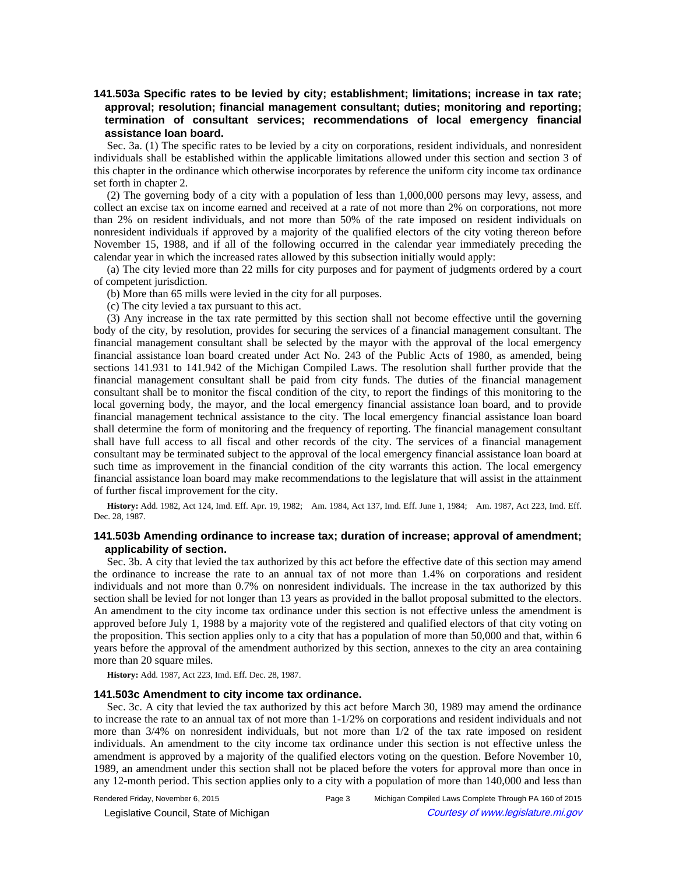# **141.503a Specific rates to be levied by city; establishment; limitations; increase in tax rate; approval; resolution; financial management consultant; duties; monitoring and reporting; termination of consultant services; recommendations of local emergency financial assistance loan board.**

Sec. 3a. (1) The specific rates to be levied by a city on corporations, resident individuals, and nonresident individuals shall be established within the applicable limitations allowed under this section and section 3 of this chapter in the ordinance which otherwise incorporates by reference the uniform city income tax ordinance set forth in chapter 2.

(2) The governing body of a city with a population of less than 1,000,000 persons may levy, assess, and collect an excise tax on income earned and received at a rate of not more than 2% on corporations, not more than 2% on resident individuals, and not more than 50% of the rate imposed on resident individuals on nonresident individuals if approved by a majority of the qualified electors of the city voting thereon before November 15, 1988, and if all of the following occurred in the calendar year immediately preceding the calendar year in which the increased rates allowed by this subsection initially would apply:

(a) The city levied more than 22 mills for city purposes and for payment of judgments ordered by a court of competent jurisdiction.

(b) More than 65 mills were levied in the city for all purposes.

(c) The city levied a tax pursuant to this act.

(3) Any increase in the tax rate permitted by this section shall not become effective until the governing body of the city, by resolution, provides for securing the services of a financial management consultant. The financial management consultant shall be selected by the mayor with the approval of the local emergency financial assistance loan board created under Act No. 243 of the Public Acts of 1980, as amended, being sections 141.931 to 141.942 of the Michigan Compiled Laws. The resolution shall further provide that the financial management consultant shall be paid from city funds. The duties of the financial management consultant shall be to monitor the fiscal condition of the city, to report the findings of this monitoring to the local governing body, the mayor, and the local emergency financial assistance loan board, and to provide financial management technical assistance to the city. The local emergency financial assistance loan board shall determine the form of monitoring and the frequency of reporting. The financial management consultant shall have full access to all fiscal and other records of the city. The services of a financial management consultant may be terminated subject to the approval of the local emergency financial assistance loan board at such time as improvement in the financial condition of the city warrants this action. The local emergency financial assistance loan board may make recommendations to the legislature that will assist in the attainment of further fiscal improvement for the city.

History: Add. 1982, Act 124, Imd. Eff. Apr. 19, 1982;—Am. 1984, Act 137, Imd. Eff. June 1, 1984;—Am. 1987, Act 223, Imd. Eff. Dec. 28, 1987.

# **141.503b Amending ordinance to increase tax; duration of increase; approval of amendment; applicability of section.**

Sec. 3b. A city that levied the tax authorized by this act before the effective date of this section may amend the ordinance to increase the rate to an annual tax of not more than 1.4% on corporations and resident individuals and not more than 0.7% on nonresident individuals. The increase in the tax authorized by this section shall be levied for not longer than 13 years as provided in the ballot proposal submitted to the electors. An amendment to the city income tax ordinance under this section is not effective unless the amendment is approved before July 1, 1988 by a majority vote of the registered and qualified electors of that city voting on the proposition. This section applies only to a city that has a population of more than 50,000 and that, within 6 years before the approval of the amendment authorized by this section, annexes to the city an area containing more than 20 square miles.

**History:** Add. 1987, Act 223, Imd. Eff. Dec. 28, 1987.

#### **141.503c Amendment to city income tax ordinance.**

Sec. 3c. A city that levied the tax authorized by this act before March 30, 1989 may amend the ordinance to increase the rate to an annual tax of not more than 1-1/2% on corporations and resident individuals and not more than 3/4% on nonresident individuals, but not more than 1/2 of the tax rate imposed on resident individuals. An amendment to the city income tax ordinance under this section is not effective unless the amendment is approved by a majority of the qualified electors voting on the question. Before November 10, 1989, an amendment under this section shall not be placed before the voters for approval more than once in any 12-month period. This section applies only to a city with a population of more than 140,000 and less than

Legislative Council, State of Michigan Courtesy of www.legislature.mi.gov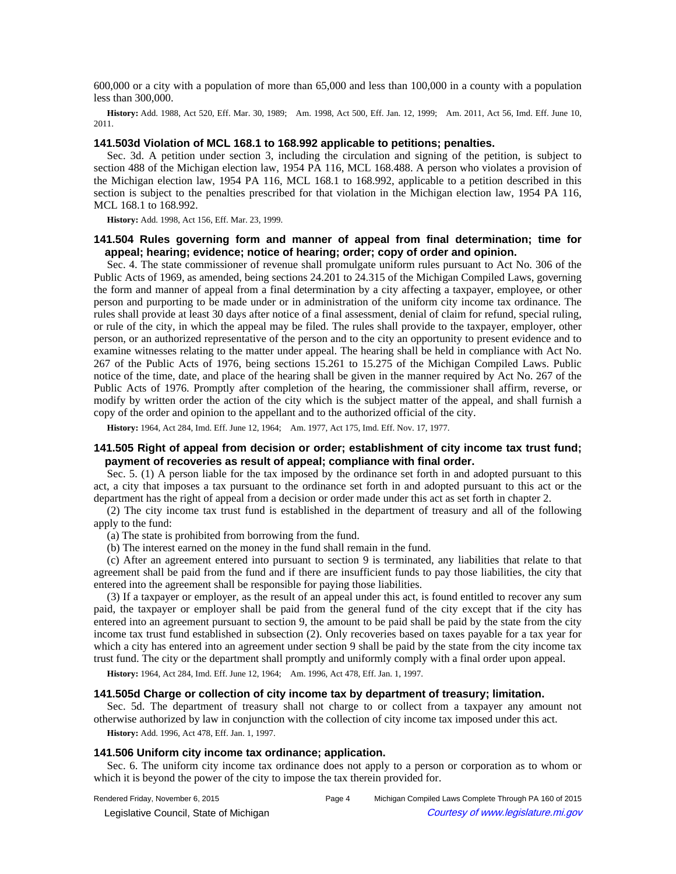600,000 or a city with a population of more than 65,000 and less than 100,000 in a county with a population less than 300,000.

History: Add. 1988, Act 520, Eff. Mar. 30, 1989;--Am. 1998, Act 500, Eff. Jan. 12, 1999;--Am. 2011, Act 56, Imd. Eff. June 10, 2011.

### **141.503d Violation of MCL 168.1 to 168.992 applicable to petitions; penalties.**

Sec. 3d. A petition under section 3, including the circulation and signing of the petition, is subject to section 488 of the Michigan election law, 1954 PA 116, MCL 168.488. A person who violates a provision of the Michigan election law, 1954 PA 116, MCL 168.1 to 168.992, applicable to a petition described in this section is subject to the penalties prescribed for that violation in the Michigan election law, 1954 PA 116, MCL 168.1 to 168.992.

**History:** Add. 1998, Act 156, Eff. Mar. 23, 1999.

## **141.504 Rules governing form and manner of appeal from final determination; time for appeal; hearing; evidence; notice of hearing; order; copy of order and opinion.**

Sec. 4. The state commissioner of revenue shall promulgate uniform rules pursuant to Act No. 306 of the Public Acts of 1969, as amended, being sections 24.201 to 24.315 of the Michigan Compiled Laws, governing the form and manner of appeal from a final determination by a city affecting a taxpayer, employee, or other person and purporting to be made under or in administration of the uniform city income tax ordinance. The rules shall provide at least 30 days after notice of a final assessment, denial of claim for refund, special ruling, or rule of the city, in which the appeal may be filed. The rules shall provide to the taxpayer, employer, other person, or an authorized representative of the person and to the city an opportunity to present evidence and to examine witnesses relating to the matter under appeal. The hearing shall be held in compliance with Act No. 267 of the Public Acts of 1976, being sections 15.261 to 15.275 of the Michigan Compiled Laws. Public notice of the time, date, and place of the hearing shall be given in the manner required by Act No. 267 of the Public Acts of 1976. Promptly after completion of the hearing, the commissioner shall affirm, reverse, or modify by written order the action of the city which is the subject matter of the appeal, and shall furnish a copy of the order and opinion to the appellant and to the authorized official of the city.

History: 1964, Act 284, Imd. Eff. June 12, 1964;-Am. 1977, Act 175, Imd. Eff. Nov. 17, 1977.

# **141.505 Right of appeal from decision or order; establishment of city income tax trust fund; payment of recoveries as result of appeal; compliance with final order.**

Sec. 5. (1) A person liable for the tax imposed by the ordinance set forth in and adopted pursuant to this act, a city that imposes a tax pursuant to the ordinance set forth in and adopted pursuant to this act or the department has the right of appeal from a decision or order made under this act as set forth in chapter 2.

(2) The city income tax trust fund is established in the department of treasury and all of the following apply to the fund:

(a) The state is prohibited from borrowing from the fund.

(b) The interest earned on the money in the fund shall remain in the fund.

(c) After an agreement entered into pursuant to section 9 is terminated, any liabilities that relate to that agreement shall be paid from the fund and if there are insufficient funds to pay those liabilities, the city that entered into the agreement shall be responsible for paying those liabilities.

(3) If a taxpayer or employer, as the result of an appeal under this act, is found entitled to recover any sum paid, the taxpayer or employer shall be paid from the general fund of the city except that if the city has entered into an agreement pursuant to section 9, the amount to be paid shall be paid by the state from the city income tax trust fund established in subsection (2). Only recoveries based on taxes payable for a tax year for which a city has entered into an agreement under section 9 shall be paid by the state from the city income tax trust fund. The city or the department shall promptly and uniformly comply with a final order upon appeal.

History: 1964, Act 284, Imd. Eff. June 12, 1964;-Am. 1996, Act 478, Eff. Jan. 1, 1997.

## **141.505d Charge or collection of city income tax by department of treasury; limitation.**

Sec. 5d. The department of treasury shall not charge to or collect from a taxpayer any amount not otherwise authorized by law in conjunction with the collection of city income tax imposed under this act.

**History:** Add. 1996, Act 478, Eff. Jan. 1, 1997.

## **141.506 Uniform city income tax ordinance; application.**

Sec. 6. The uniform city income tax ordinance does not apply to a person or corporation as to whom or which it is beyond the power of the city to impose the tax therein provided for.

© Legislative Council, State of Michigan Council Courtesy of www.legislature.mi.gov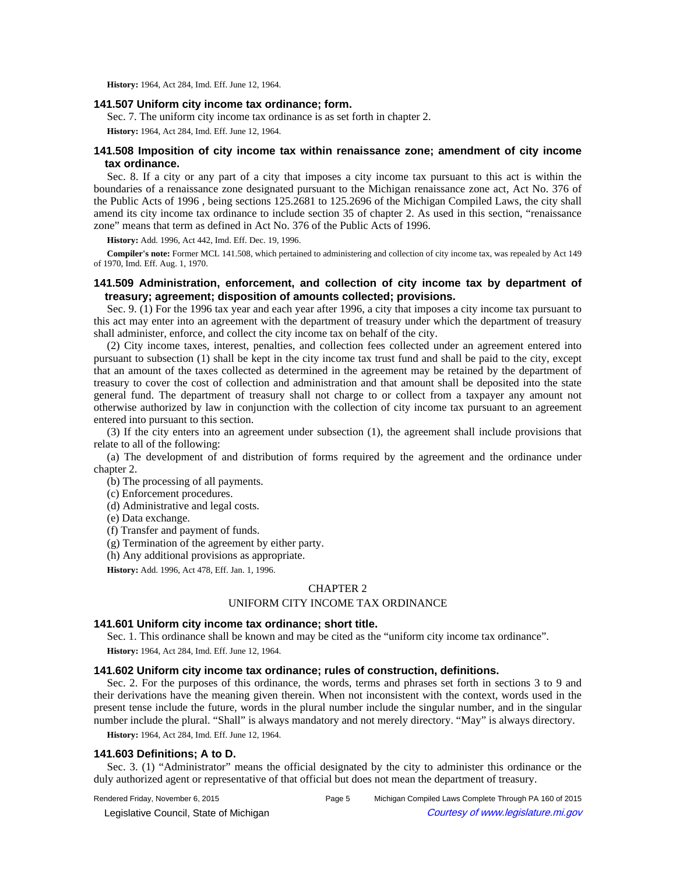**History:** 1964, Act 284, Imd. Eff. June 12, 1964.

## **141.507 Uniform city income tax ordinance; form.**

Sec. 7. The uniform city income tax ordinance is as set forth in chapter 2.

**History:** 1964, Act 284, Imd. Eff. June 12, 1964.

# **141.508 Imposition of city income tax within renaissance zone; amendment of city income tax ordinance.**

Sec. 8. If a city or any part of a city that imposes a city income tax pursuant to this act is within the boundaries of a renaissance zone designated pursuant to the Michigan renaissance zone act, Act No. 376 of the Public Acts of 1996 , being sections 125.2681 to 125.2696 of the Michigan Compiled Laws, the city shall amend its city income tax ordinance to include section 35 of chapter 2. As used in this section, "renaissance zone" means that term as defined in Act No. 376 of the Public Acts of 1996.

**History:** Add. 1996, Act 442, Imd. Eff. Dec. 19, 1996.

**Compiler's note:** Former MCL 141.508, which pertained to administering and collection of city income tax, was repealed by Act 149 of 1970, Imd. Eff. Aug. 1, 1970.

## **141.509 Administration, enforcement, and collection of city income tax by department of treasury; agreement; disposition of amounts collected; provisions.**

Sec. 9. (1) For the 1996 tax year and each year after 1996, a city that imposes a city income tax pursuant to this act may enter into an agreement with the department of treasury under which the department of treasury shall administer, enforce, and collect the city income tax on behalf of the city.

(2) City income taxes, interest, penalties, and collection fees collected under an agreement entered into pursuant to subsection (1) shall be kept in the city income tax trust fund and shall be paid to the city, except that an amount of the taxes collected as determined in the agreement may be retained by the department of treasury to cover the cost of collection and administration and that amount shall be deposited into the state general fund. The department of treasury shall not charge to or collect from a taxpayer any amount not otherwise authorized by law in conjunction with the collection of city income tax pursuant to an agreement entered into pursuant to this section.

(3) If the city enters into an agreement under subsection (1), the agreement shall include provisions that relate to all of the following:

(a) The development of and distribution of forms required by the agreement and the ordinance under chapter 2.

(b) The processing of all payments.

- (c) Enforcement procedures.
- (d) Administrative and legal costs.
- (e) Data exchange.
- (f) Transfer and payment of funds.
- (g) Termination of the agreement by either party.
- (h) Any additional provisions as appropriate.

**History:** Add. 1996, Act 478, Eff. Jan. 1, 1996.

# CHAPTER 2

### UNIFORM CITY INCOME TAX ORDINANCE

#### **141.601 Uniform city income tax ordinance; short title.**

Sec. 1. This ordinance shall be known and may be cited as the "uniform city income tax ordinance".

**History:** 1964, Act 284, Imd. Eff. June 12, 1964.

## **141.602 Uniform city income tax ordinance; rules of construction, definitions.**

Sec. 2. For the purposes of this ordinance, the words, terms and phrases set forth in sections 3 to 9 and their derivations have the meaning given therein. When not inconsistent with the context, words used in the present tense include the future, words in the plural number include the singular number, and in the singular number include the plural. "Shall" is always mandatory and not merely directory. "May" is always directory.

**History:** 1964, Act 284, Imd. Eff. June 12, 1964.

#### **141.603 Definitions; A to D.**

Sec. 3. (1) "Administrator" means the official designated by the city to administer this ordinance or the duly authorized agent or representative of that official but does not mean the department of treasury.

Rendered Friday, November 6, 2015 Page 5 Michigan Compiled Laws Complete Through PA 160 of 2015 © Legislative Council, State of Michigan Council Courtesy of www.legislature.mi.gov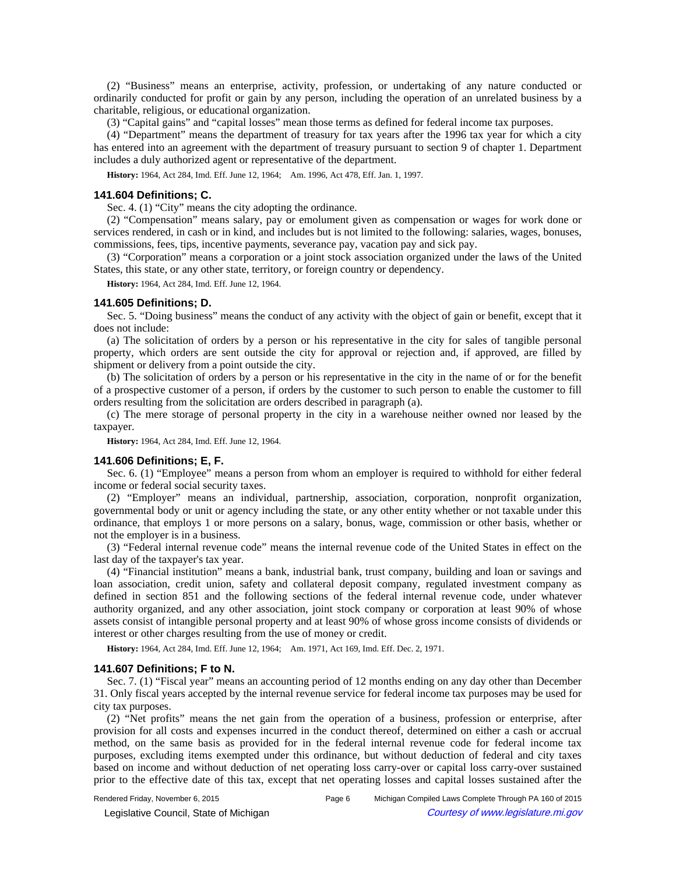(2) "Business" means an enterprise, activity, profession, or undertaking of any nature conducted or ordinarily conducted for profit or gain by any person, including the operation of an unrelated business by a charitable, religious, or educational organization.

(3) "Capital gains" and "capital losses" mean those terms as defined for federal income tax purposes.

(4) "Department" means the department of treasury for tax years after the 1996 tax year for which a city has entered into an agreement with the department of treasury pursuant to section 9 of chapter 1. Department includes a duly authorized agent or representative of the department.

History: 1964, Act 284, Imd. Eff. June 12, 1964;-Am. 1996, Act 478, Eff. Jan. 1, 1997.

#### **141.604 Definitions; C.**

Sec. 4. (1) "City" means the city adopting the ordinance.

(2) "Compensation" means salary, pay or emolument given as compensation or wages for work done or services rendered, in cash or in kind, and includes but is not limited to the following: salaries, wages, bonuses, commissions, fees, tips, incentive payments, severance pay, vacation pay and sick pay.

(3) "Corporation" means a corporation or a joint stock association organized under the laws of the United States, this state, or any other state, territory, or foreign country or dependency.

**History:** 1964, Act 284, Imd. Eff. June 12, 1964.

### **141.605 Definitions; D.**

Sec. 5. "Doing business" means the conduct of any activity with the object of gain or benefit, except that it does not include:

(a) The solicitation of orders by a person or his representative in the city for sales of tangible personal property, which orders are sent outside the city for approval or rejection and, if approved, are filled by shipment or delivery from a point outside the city.

(b) The solicitation of orders by a person or his representative in the city in the name of or for the benefit of a prospective customer of a person, if orders by the customer to such person to enable the customer to fill orders resulting from the solicitation are orders described in paragraph (a).

(c) The mere storage of personal property in the city in a warehouse neither owned nor leased by the taxpayer.

**History:** 1964, Act 284, Imd. Eff. June 12, 1964.

### **141.606 Definitions; E, F.**

Sec. 6. (1) "Employee" means a person from whom an employer is required to withhold for either federal income or federal social security taxes.

(2) "Employer" means an individual, partnership, association, corporation, nonprofit organization, governmental body or unit or agency including the state, or any other entity whether or not taxable under this ordinance, that employs 1 or more persons on a salary, bonus, wage, commission or other basis, whether or not the employer is in a business.

(3) "Federal internal revenue code" means the internal revenue code of the United States in effect on the last day of the taxpayer's tax year.

(4) "Financial institution" means a bank, industrial bank, trust company, building and loan or savings and loan association, credit union, safety and collateral deposit company, regulated investment company as defined in section 851 and the following sections of the federal internal revenue code, under whatever authority organized, and any other association, joint stock company or corporation at least 90% of whose assets consist of intangible personal property and at least 90% of whose gross income consists of dividends or interest or other charges resulting from the use of money or credit.

History: 1964, Act 284, Imd. Eff. June 12, 1964; **Am. 1971**, Act 169, Imd. Eff. Dec. 2, 1971.

#### **141.607 Definitions; F to N.**

Sec. 7. (1) "Fiscal year" means an accounting period of 12 months ending on any day other than December 31. Only fiscal years accepted by the internal revenue service for federal income tax purposes may be used for city tax purposes.

(2) "Net profits" means the net gain from the operation of a business, profession or enterprise, after provision for all costs and expenses incurred in the conduct thereof, determined on either a cash or accrual method, on the same basis as provided for in the federal internal revenue code for federal income tax purposes, excluding items exempted under this ordinance, but without deduction of federal and city taxes based on income and without deduction of net operating loss carry-over or capital loss carry-over sustained prior to the effective date of this tax, except that net operating losses and capital losses sustained after the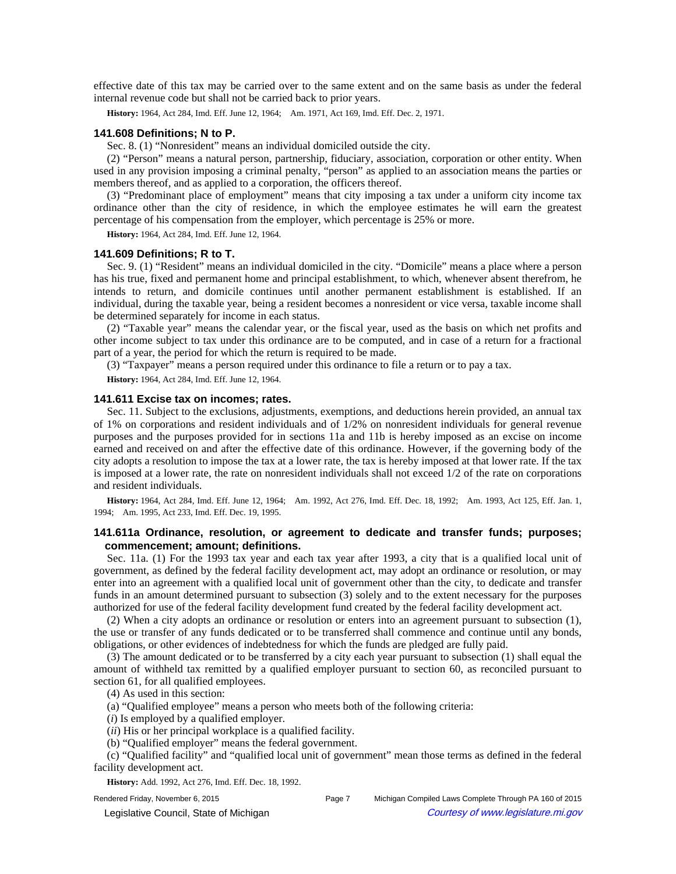effective date of this tax may be carried over to the same extent and on the same basis as under the federal internal revenue code but shall not be carried back to prior years.

History: 1964, Act 284, Imd. Eff. June 12, 1964; **Am. 1971, Act 169, Imd. Eff. Dec. 2, 1971.** 

### **141.608 Definitions; N to P.**

Sec. 8. (1) "Nonresident" means an individual domiciled outside the city.

(2) "Person" means a natural person, partnership, fiduciary, association, corporation or other entity. When used in any provision imposing a criminal penalty, "person" as applied to an association means the parties or members thereof, and as applied to a corporation, the officers thereof.

(3) "Predominant place of employment" means that city imposing a tax under a uniform city income tax ordinance other than the city of residence, in which the employee estimates he will earn the greatest percentage of his compensation from the employer, which percentage is 25% or more.

**History:** 1964, Act 284, Imd. Eff. June 12, 1964.

### **141.609 Definitions; R to T.**

Sec. 9. (1) "Resident" means an individual domiciled in the city. "Domicile" means a place where a person has his true, fixed and permanent home and principal establishment, to which, whenever absent therefrom, he intends to return, and domicile continues until another permanent establishment is established. If an individual, during the taxable year, being a resident becomes a nonresident or vice versa, taxable income shall be determined separately for income in each status.

(2) "Taxable year" means the calendar year, or the fiscal year, used as the basis on which net profits and other income subject to tax under this ordinance are to be computed, and in case of a return for a fractional part of a year, the period for which the return is required to be made.

(3) "Taxpayer" means a person required under this ordinance to file a return or to pay a tax.

**History:** 1964, Act 284, Imd. Eff. June 12, 1964.

# **141.611 Excise tax on incomes; rates.**

Sec. 11. Subject to the exclusions, adjustments, exemptions, and deductions herein provided, an annual tax of 1% on corporations and resident individuals and of 1/2% on nonresident individuals for general revenue purposes and the purposes provided for in sections 11a and 11b is hereby imposed as an excise on income earned and received on and after the effective date of this ordinance. However, if the governing body of the city adopts a resolution to impose the tax at a lower rate, the tax is hereby imposed at that lower rate. If the tax is imposed at a lower rate, the rate on nonresident individuals shall not exceed 1/2 of the rate on corporations and resident individuals.

History: 1964, Act 284, Imd. Eff. June 12, 1964;—Am. 1992, Act 276, Imd. Eff. Dec. 18, 1992;—Am. 1993, Act 125, Eff. Jan. 1, 1994; — Am. 1995, Act 233, Imd. Eff. Dec. 19, 1995.

## **141.611a Ordinance, resolution, or agreement to dedicate and transfer funds; purposes; commencement; amount; definitions.**

Sec. 11a. (1) For the 1993 tax year and each tax year after 1993, a city that is a qualified local unit of government, as defined by the federal facility development act, may adopt an ordinance or resolution, or may enter into an agreement with a qualified local unit of government other than the city, to dedicate and transfer funds in an amount determined pursuant to subsection (3) solely and to the extent necessary for the purposes authorized for use of the federal facility development fund created by the federal facility development act.

(2) When a city adopts an ordinance or resolution or enters into an agreement pursuant to subsection (1), the use or transfer of any funds dedicated or to be transferred shall commence and continue until any bonds, obligations, or other evidences of indebtedness for which the funds are pledged are fully paid.

(3) The amount dedicated or to be transferred by a city each year pursuant to subsection (1) shall equal the amount of withheld tax remitted by a qualified employer pursuant to section 60, as reconciled pursuant to section 61, for all qualified employees.

(4) As used in this section:

(a) "Qualified employee" means a person who meets both of the following criteria:

(*i*) Is employed by a qualified employer.

- (*ii*) His or her principal workplace is a qualified facility.
- (b) "Qualified employer" means the federal government.

(c) "Qualified facility" and "qualified local unit of government" mean those terms as defined in the federal facility development act.

**History:** Add. 1992, Act 276, Imd. Eff. Dec. 18, 1992.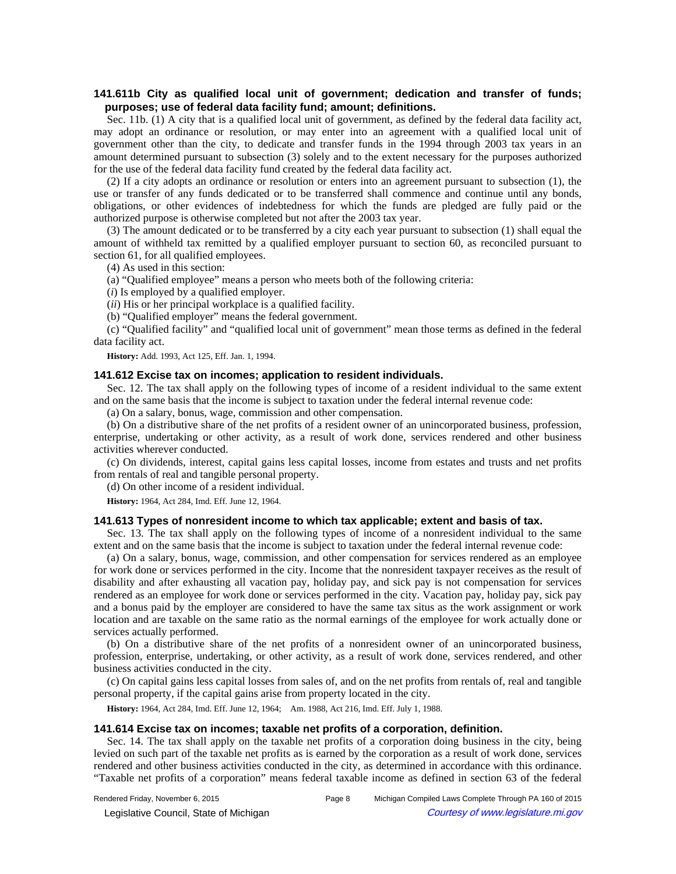# **141.611b City as qualified local unit of government; dedication and transfer of funds; purposes; use of federal data facility fund; amount; definitions.**

Sec. 11b. (1) A city that is a qualified local unit of government, as defined by the federal data facility act, may adopt an ordinance or resolution, or may enter into an agreement with a qualified local unit of government other than the city, to dedicate and transfer funds in the 1994 through 2003 tax years in an amount determined pursuant to subsection (3) solely and to the extent necessary for the purposes authorized for the use of the federal data facility fund created by the federal data facility act.

(2) If a city adopts an ordinance or resolution or enters into an agreement pursuant to subsection (1), the use or transfer of any funds dedicated or to be transferred shall commence and continue until any bonds, obligations, or other evidences of indebtedness for which the funds are pledged are fully paid or the authorized purpose is otherwise completed but not after the 2003 tax year.

(3) The amount dedicated or to be transferred by a city each year pursuant to subsection (1) shall equal the amount of withheld tax remitted by a qualified employer pursuant to section 60, as reconciled pursuant to section 61, for all qualified employees.

(4) As used in this section:

(a) "Qualified employee" means a person who meets both of the following criteria:

(*i*) Is employed by a qualified employer.

(*ii*) His or her principal workplace is a qualified facility.

(b) "Qualified employer" means the federal government.

(c) "Qualified facility" and "qualified local unit of government" mean those terms as defined in the federal data facility act.

**History:** Add. 1993, Act 125, Eff. Jan. 1, 1994.

### **141.612 Excise tax on incomes; application to resident individuals.**

Sec. 12. The tax shall apply on the following types of income of a resident individual to the same extent and on the same basis that the income is subject to taxation under the federal internal revenue code:

(a) On a salary, bonus, wage, commission and other compensation.

(b) On a distributive share of the net profits of a resident owner of an unincorporated business, profession, enterprise, undertaking or other activity, as a result of work done, services rendered and other business activities wherever conducted.

(c) On dividends, interest, capital gains less capital losses, income from estates and trusts and net profits from rentals of real and tangible personal property.

(d) On other income of a resident individual.

**History:** 1964, Act 284, Imd. Eff. June 12, 1964.

### **141.613 Types of nonresident income to which tax applicable; extent and basis of tax.**

Sec. 13. The tax shall apply on the following types of income of a nonresident individual to the same extent and on the same basis that the income is subject to taxation under the federal internal revenue code:

(a) On a salary, bonus, wage, commission, and other compensation for services rendered as an employee for work done or services performed in the city. Income that the nonresident taxpayer receives as the result of disability and after exhausting all vacation pay, holiday pay, and sick pay is not compensation for services rendered as an employee for work done or services performed in the city. Vacation pay, holiday pay, sick pay and a bonus paid by the employer are considered to have the same tax situs as the work assignment or work location and are taxable on the same ratio as the normal earnings of the employee for work actually done or services actually performed.

(b) On a distributive share of the net profits of a nonresident owner of an unincorporated business, profession, enterprise, undertaking, or other activity, as a result of work done, services rendered, and other business activities conducted in the city.

(c) On capital gains less capital losses from sales of, and on the net profits from rentals of, real and tangible personal property, if the capital gains arise from property located in the city.

History: 1964, Act 284, Imd. Eff. June 12, 1964;**--**Am. 1988, Act 216, Imd. Eff. July 1, 1988.

### **141.614 Excise tax on incomes; taxable net profits of a corporation, definition.**

Sec. 14. The tax shall apply on the taxable net profits of a corporation doing business in the city, being levied on such part of the taxable net profits as is earned by the corporation as a result of work done, services rendered and other business activities conducted in the city, as determined in accordance with this ordinance. "Taxable net profits of a corporation" means federal taxable income as defined in section 63 of the federal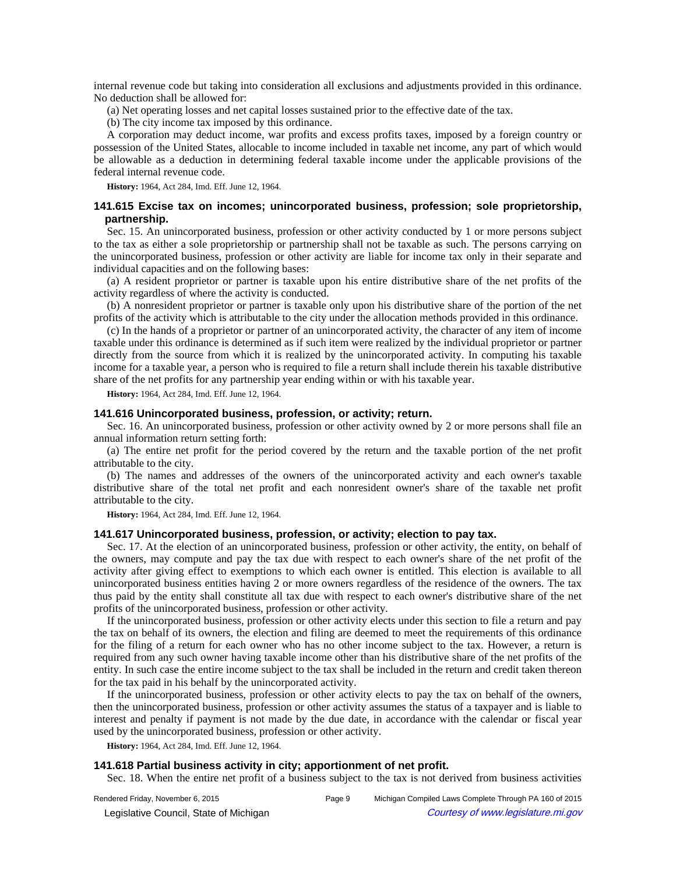internal revenue code but taking into consideration all exclusions and adjustments provided in this ordinance. No deduction shall be allowed for:

(a) Net operating losses and net capital losses sustained prior to the effective date of the tax.

(b) The city income tax imposed by this ordinance.

A corporation may deduct income, war profits and excess profits taxes, imposed by a foreign country or possession of the United States, allocable to income included in taxable net income, any part of which would be allowable as a deduction in determining federal taxable income under the applicable provisions of the federal internal revenue code.

**History:** 1964, Act 284, Imd. Eff. June 12, 1964.

# **141.615 Excise tax on incomes; unincorporated business, profession; sole proprietorship, partnership.**

Sec. 15. An unincorporated business, profession or other activity conducted by 1 or more persons subject to the tax as either a sole proprietorship or partnership shall not be taxable as such. The persons carrying on the unincorporated business, profession or other activity are liable for income tax only in their separate and individual capacities and on the following bases:

(a) A resident proprietor or partner is taxable upon his entire distributive share of the net profits of the activity regardless of where the activity is conducted.

(b) A nonresident proprietor or partner is taxable only upon his distributive share of the portion of the net profits of the activity which is attributable to the city under the allocation methods provided in this ordinance.

(c) In the hands of a proprietor or partner of an unincorporated activity, the character of any item of income taxable under this ordinance is determined as if such item were realized by the individual proprietor or partner directly from the source from which it is realized by the unincorporated activity. In computing his taxable income for a taxable year, a person who is required to file a return shall include therein his taxable distributive share of the net profits for any partnership year ending within or with his taxable year.

**History:** 1964, Act 284, Imd. Eff. June 12, 1964.

#### **141.616 Unincorporated business, profession, or activity; return.**

Sec. 16. An unincorporated business, profession or other activity owned by 2 or more persons shall file an annual information return setting forth:

(a) The entire net profit for the period covered by the return and the taxable portion of the net profit attributable to the city.

(b) The names and addresses of the owners of the unincorporated activity and each owner's taxable distributive share of the total net profit and each nonresident owner's share of the taxable net profit attributable to the city.

**History:** 1964, Act 284, Imd. Eff. June 12, 1964.

## **141.617 Unincorporated business, profession, or activity; election to pay tax.**

Sec. 17. At the election of an unincorporated business, profession or other activity, the entity, on behalf of the owners, may compute and pay the tax due with respect to each owner's share of the net profit of the activity after giving effect to exemptions to which each owner is entitled. This election is available to all unincorporated business entities having 2 or more owners regardless of the residence of the owners. The tax thus paid by the entity shall constitute all tax due with respect to each owner's distributive share of the net profits of the unincorporated business, profession or other activity.

If the unincorporated business, profession or other activity elects under this section to file a return and pay the tax on behalf of its owners, the election and filing are deemed to meet the requirements of this ordinance for the filing of a return for each owner who has no other income subject to the tax. However, a return is required from any such owner having taxable income other than his distributive share of the net profits of the entity. In such case the entire income subject to the tax shall be included in the return and credit taken thereon for the tax paid in his behalf by the unincorporated activity.

If the unincorporated business, profession or other activity elects to pay the tax on behalf of the owners, then the unincorporated business, profession or other activity assumes the status of a taxpayer and is liable to interest and penalty if payment is not made by the due date, in accordance with the calendar or fiscal year used by the unincorporated business, profession or other activity.

**History:** 1964, Act 284, Imd. Eff. June 12, 1964.

# **141.618 Partial business activity in city; apportionment of net profit.**

Sec. 18. When the entire net profit of a business subject to the tax is not derived from business activities

© Legislative Council, State of Michigan Council Courtesy of www.legislature.mi.gov

Rendered Friday, November 6, 2015 Page 9 Michigan Compiled Laws Complete Through PA 160 of 2015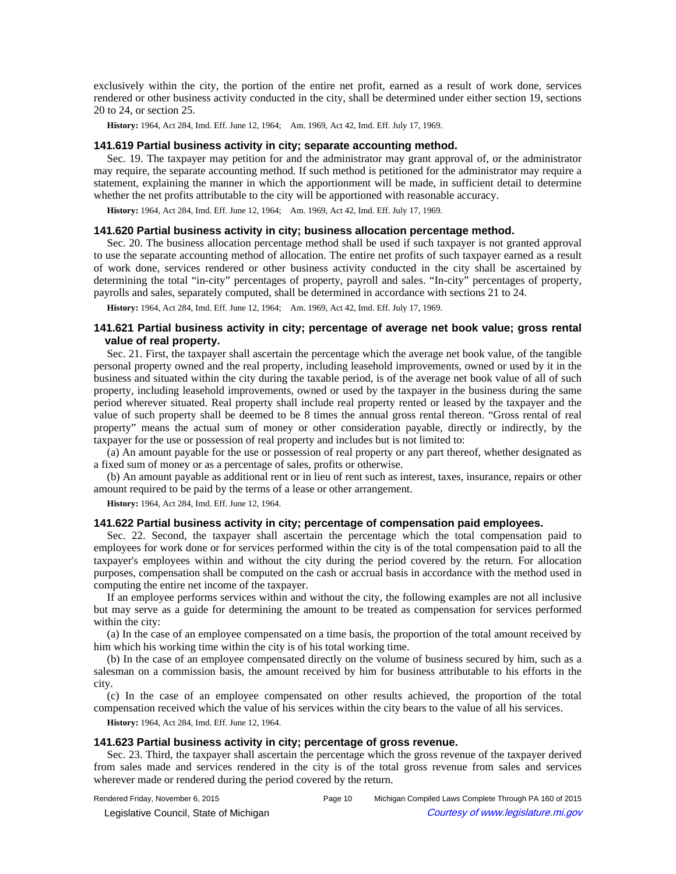exclusively within the city, the portion of the entire net profit, earned as a result of work done, services rendered or other business activity conducted in the city, shall be determined under either section 19, sections 20 to 24, or section 25.

History: 1964, Act 284, Imd. Eff. June 12, 1964;—Am. 1969, Act 42, Imd. Eff. July 17, 1969.

# **141.619 Partial business activity in city; separate accounting method.**

Sec. 19. The taxpayer may petition for and the administrator may grant approval of, or the administrator may require, the separate accounting method. If such method is petitioned for the administrator may require a statement, explaining the manner in which the apportionment will be made, in sufficient detail to determine whether the net profits attributable to the city will be apportioned with reasonable accuracy.

History: 1964, Act 284, Imd. Eff. June 12, 1964;—Am. 1969, Act 42, Imd. Eff. July 17, 1969.

## **141.620 Partial business activity in city; business allocation percentage method.**

Sec. 20. The business allocation percentage method shall be used if such taxpayer is not granted approval to use the separate accounting method of allocation. The entire net profits of such taxpayer earned as a result of work done, services rendered or other business activity conducted in the city shall be ascertained by determining the total "in-city" percentages of property, payroll and sales. "In-city" percentages of property, payrolls and sales, separately computed, shall be determined in accordance with sections 21 to 24.

History: 1964, Act 284, Imd. Eff. June 12, 1964;-Am. 1969, Act 42, Imd. Eff. July 17, 1969.

# **141.621 Partial business activity in city; percentage of average net book value; gross rental value of real property.**

Sec. 21. First, the taxpayer shall ascertain the percentage which the average net book value, of the tangible personal property owned and the real property, including leasehold improvements, owned or used by it in the business and situated within the city during the taxable period, is of the average net book value of all of such property, including leasehold improvements, owned or used by the taxpayer in the business during the same period wherever situated. Real property shall include real property rented or leased by the taxpayer and the value of such property shall be deemed to be 8 times the annual gross rental thereon. "Gross rental of real property" means the actual sum of money or other consideration payable, directly or indirectly, by the taxpayer for the use or possession of real property and includes but is not limited to:

(a) An amount payable for the use or possession of real property or any part thereof, whether designated as a fixed sum of money or as a percentage of sales, profits or otherwise.

(b) An amount payable as additional rent or in lieu of rent such as interest, taxes, insurance, repairs or other amount required to be paid by the terms of a lease or other arrangement.

**History:** 1964, Act 284, Imd. Eff. June 12, 1964.

## **141.622 Partial business activity in city; percentage of compensation paid employees.**

Sec. 22. Second, the taxpayer shall ascertain the percentage which the total compensation paid to employees for work done or for services performed within the city is of the total compensation paid to all the taxpayer's employees within and without the city during the period covered by the return. For allocation purposes, compensation shall be computed on the cash or accrual basis in accordance with the method used in computing the entire net income of the taxpayer.

If an employee performs services within and without the city, the following examples are not all inclusive but may serve as a guide for determining the amount to be treated as compensation for services performed within the city:

(a) In the case of an employee compensated on a time basis, the proportion of the total amount received by him which his working time within the city is of his total working time.

(b) In the case of an employee compensated directly on the volume of business secured by him, such as a salesman on a commission basis, the amount received by him for business attributable to his efforts in the city.

(c) In the case of an employee compensated on other results achieved, the proportion of the total compensation received which the value of his services within the city bears to the value of all his services.

**History:** 1964, Act 284, Imd. Eff. June 12, 1964.

## **141.623 Partial business activity in city; percentage of gross revenue.**

Sec. 23. Third, the taxpayer shall ascertain the percentage which the gross revenue of the taxpayer derived from sales made and services rendered in the city is of the total gross revenue from sales and services wherever made or rendered during the period covered by the return.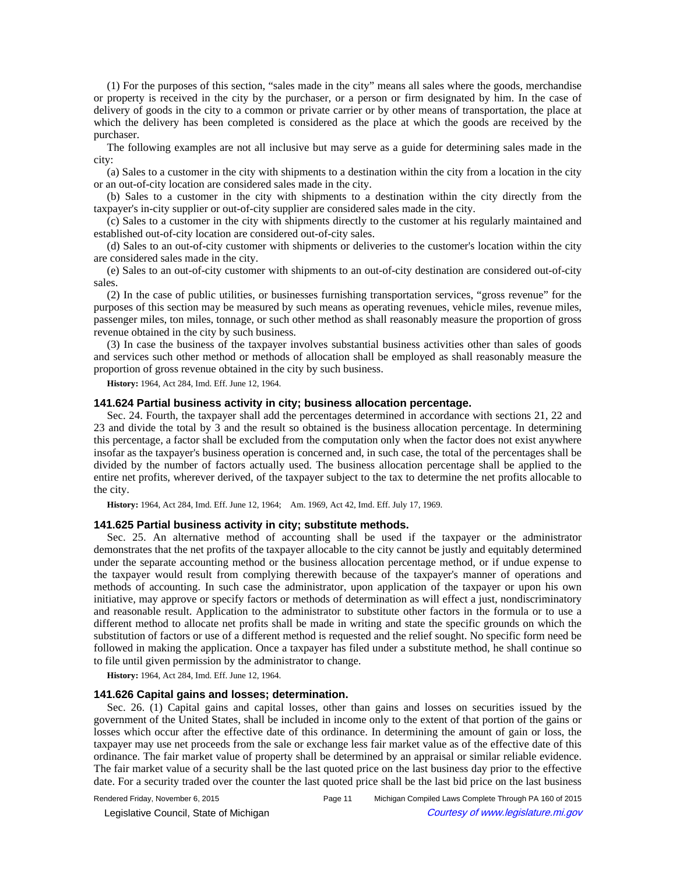(1) For the purposes of this section, "sales made in the city" means all sales where the goods, merchandise or property is received in the city by the purchaser, or a person or firm designated by him. In the case of delivery of goods in the city to a common or private carrier or by other means of transportation, the place at which the delivery has been completed is considered as the place at which the goods are received by the purchaser.

The following examples are not all inclusive but may serve as a guide for determining sales made in the city:

(a) Sales to a customer in the city with shipments to a destination within the city from a location in the city or an out-of-city location are considered sales made in the city.

(b) Sales to a customer in the city with shipments to a destination within the city directly from the taxpayer's in-city supplier or out-of-city supplier are considered sales made in the city.

(c) Sales to a customer in the city with shipments directly to the customer at his regularly maintained and established out-of-city location are considered out-of-city sales.

(d) Sales to an out-of-city customer with shipments or deliveries to the customer's location within the city are considered sales made in the city.

(e) Sales to an out-of-city customer with shipments to an out-of-city destination are considered out-of-city sales.

(2) In the case of public utilities, or businesses furnishing transportation services, "gross revenue" for the purposes of this section may be measured by such means as operating revenues, vehicle miles, revenue miles, passenger miles, ton miles, tonnage, or such other method as shall reasonably measure the proportion of gross revenue obtained in the city by such business.

(3) In case the business of the taxpayer involves substantial business activities other than sales of goods and services such other method or methods of allocation shall be employed as shall reasonably measure the proportion of gross revenue obtained in the city by such business.

**History:** 1964, Act 284, Imd. Eff. June 12, 1964.

## **141.624 Partial business activity in city; business allocation percentage.**

Sec. 24. Fourth, the taxpayer shall add the percentages determined in accordance with sections 21, 22 and 23 and divide the total by 3 and the result so obtained is the business allocation percentage. In determining this percentage, a factor shall be excluded from the computation only when the factor does not exist anywhere insofar as the taxpayer's business operation is concerned and, in such case, the total of the percentages shall be divided by the number of factors actually used. The business allocation percentage shall be applied to the entire net profits, wherever derived, of the taxpayer subject to the tax to determine the net profits allocable to the city.

History: 1964, Act 284, Imd. Eff. June 12, 1964;-Am. 1969, Act 42, Imd. Eff. July 17, 1969.

#### **141.625 Partial business activity in city; substitute methods.**

Sec. 25. An alternative method of accounting shall be used if the taxpayer or the administrator demonstrates that the net profits of the taxpayer allocable to the city cannot be justly and equitably determined under the separate accounting method or the business allocation percentage method, or if undue expense to the taxpayer would result from complying therewith because of the taxpayer's manner of operations and methods of accounting. In such case the administrator, upon application of the taxpayer or upon his own initiative, may approve or specify factors or methods of determination as will effect a just, nondiscriminatory and reasonable result. Application to the administrator to substitute other factors in the formula or to use a different method to allocate net profits shall be made in writing and state the specific grounds on which the substitution of factors or use of a different method is requested and the relief sought. No specific form need be followed in making the application. Once a taxpayer has filed under a substitute method, he shall continue so to file until given permission by the administrator to change.

**History:** 1964, Act 284, Imd. Eff. June 12, 1964.

#### **141.626 Capital gains and losses; determination.**

Sec. 26. (1) Capital gains and capital losses, other than gains and losses on securities issued by the government of the United States, shall be included in income only to the extent of that portion of the gains or losses which occur after the effective date of this ordinance. In determining the amount of gain or loss, the taxpayer may use net proceeds from the sale or exchange less fair market value as of the effective date of this ordinance. The fair market value of property shall be determined by an appraisal or similar reliable evidence. The fair market value of a security shall be the last quoted price on the last business day prior to the effective date. For a security traded over the counter the last quoted price shall be the last bid price on the last business

© Legislative Council, State of Michigan Council Courtesy of www.legislature.mi.gov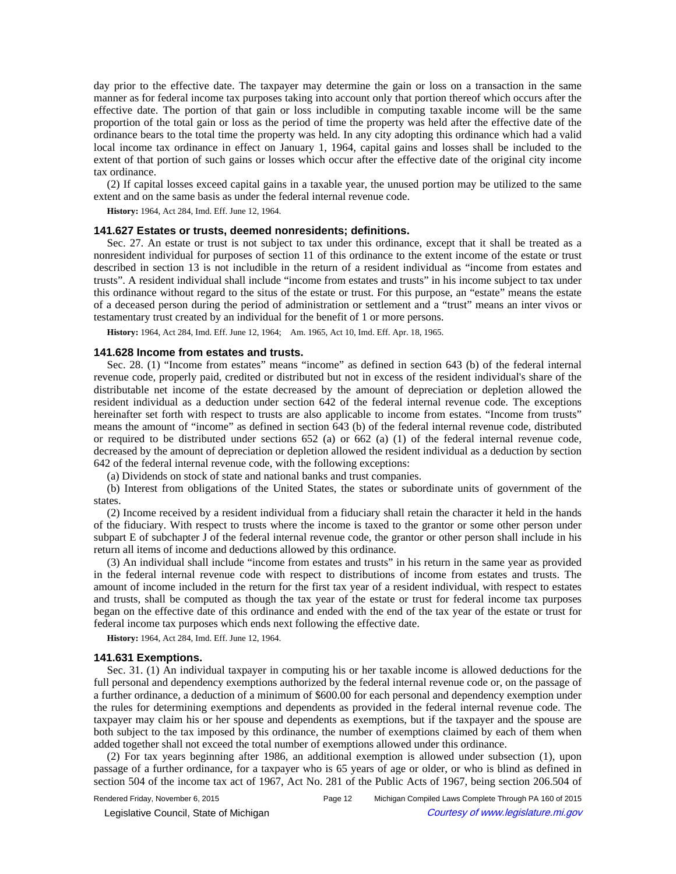day prior to the effective date. The taxpayer may determine the gain or loss on a transaction in the same manner as for federal income tax purposes taking into account only that portion thereof which occurs after the effective date. The portion of that gain or loss includible in computing taxable income will be the same proportion of the total gain or loss as the period of time the property was held after the effective date of the ordinance bears to the total time the property was held. In any city adopting this ordinance which had a valid local income tax ordinance in effect on January 1, 1964, capital gains and losses shall be included to the extent of that portion of such gains or losses which occur after the effective date of the original city income tax ordinance.

(2) If capital losses exceed capital gains in a taxable year, the unused portion may be utilized to the same extent and on the same basis as under the federal internal revenue code.

**History:** 1964, Act 284, Imd. Eff. June 12, 1964.

### **141.627 Estates or trusts, deemed nonresidents; definitions.**

Sec. 27. An estate or trust is not subject to tax under this ordinance, except that it shall be treated as a nonresident individual for purposes of section 11 of this ordinance to the extent income of the estate or trust described in section 13 is not includible in the return of a resident individual as "income from estates and trusts". A resident individual shall include "income from estates and trusts" in his income subject to tax under this ordinance without regard to the situs of the estate or trust. For this purpose, an "estate" means the estate of a deceased person during the period of administration or settlement and a "trust" means an inter vivos or testamentary trust created by an individual for the benefit of 1 or more persons.

History: 1964, Act 284, Imd. Eff. June 12, 1964;—Am. 1965, Act 10, Imd. Eff. Apr. 18, 1965.

## **141.628 Income from estates and trusts.**

Sec. 28. (1) "Income from estates" means "income" as defined in section 643 (b) of the federal internal revenue code, properly paid, credited or distributed but not in excess of the resident individual's share of the distributable net income of the estate decreased by the amount of depreciation or depletion allowed the resident individual as a deduction under section 642 of the federal internal revenue code. The exceptions hereinafter set forth with respect to trusts are also applicable to income from estates. "Income from trusts" means the amount of "income" as defined in section 643 (b) of the federal internal revenue code, distributed or required to be distributed under sections 652 (a) or 662 (a) (1) of the federal internal revenue code, decreased by the amount of depreciation or depletion allowed the resident individual as a deduction by section 642 of the federal internal revenue code, with the following exceptions:

(a) Dividends on stock of state and national banks and trust companies.

(b) Interest from obligations of the United States, the states or subordinate units of government of the states.

(2) Income received by a resident individual from a fiduciary shall retain the character it held in the hands of the fiduciary. With respect to trusts where the income is taxed to the grantor or some other person under subpart E of subchapter J of the federal internal revenue code, the grantor or other person shall include in his return all items of income and deductions allowed by this ordinance.

(3) An individual shall include "income from estates and trusts" in his return in the same year as provided in the federal internal revenue code with respect to distributions of income from estates and trusts. The amount of income included in the return for the first tax year of a resident individual, with respect to estates and trusts, shall be computed as though the tax year of the estate or trust for federal income tax purposes began on the effective date of this ordinance and ended with the end of the tax year of the estate or trust for federal income tax purposes which ends next following the effective date.

**History:** 1964, Act 284, Imd. Eff. June 12, 1964.

#### **141.631 Exemptions.**

Sec. 31. (1) An individual taxpayer in computing his or her taxable income is allowed deductions for the full personal and dependency exemptions authorized by the federal internal revenue code or, on the passage of a further ordinance, a deduction of a minimum of \$600.00 for each personal and dependency exemption under the rules for determining exemptions and dependents as provided in the federal internal revenue code. The taxpayer may claim his or her spouse and dependents as exemptions, but if the taxpayer and the spouse are both subject to the tax imposed by this ordinance, the number of exemptions claimed by each of them when added together shall not exceed the total number of exemptions allowed under this ordinance.

(2) For tax years beginning after 1986, an additional exemption is allowed under subsection (1), upon passage of a further ordinance, for a taxpayer who is 65 years of age or older, or who is blind as defined in section 504 of the income tax act of 1967, Act No. 281 of the Public Acts of 1967, being section 206.504 of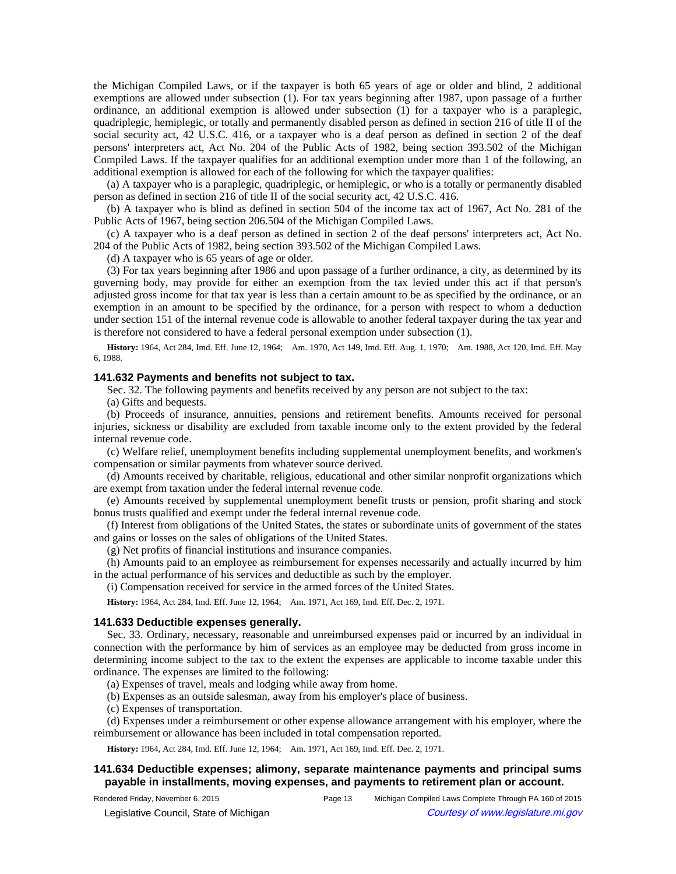the Michigan Compiled Laws, or if the taxpayer is both 65 years of age or older and blind, 2 additional exemptions are allowed under subsection (1). For tax years beginning after 1987, upon passage of a further ordinance, an additional exemption is allowed under subsection (1) for a taxpayer who is a paraplegic, quadriplegic, hemiplegic, or totally and permanently disabled person as defined in section 216 of title II of the social security act, 42 U.S.C. 416, or a taxpayer who is a deaf person as defined in section 2 of the deaf persons' interpreters act, Act No. 204 of the Public Acts of 1982, being section 393.502 of the Michigan Compiled Laws. If the taxpayer qualifies for an additional exemption under more than 1 of the following, an additional exemption is allowed for each of the following for which the taxpayer qualifies:

(a) A taxpayer who is a paraplegic, quadriplegic, or hemiplegic, or who is a totally or permanently disabled person as defined in section 216 of title II of the social security act, 42 U.S.C. 416.

(b) A taxpayer who is blind as defined in section 504 of the income tax act of 1967, Act No. 281 of the Public Acts of 1967, being section 206.504 of the Michigan Compiled Laws.

(c) A taxpayer who is a deaf person as defined in section 2 of the deaf persons' interpreters act, Act No. 204 of the Public Acts of 1982, being section 393.502 of the Michigan Compiled Laws.

(d) A taxpayer who is 65 years of age or older.

(3) For tax years beginning after 1986 and upon passage of a further ordinance, a city, as determined by its governing body, may provide for either an exemption from the tax levied under this act if that person's adjusted gross income for that tax year is less than a certain amount to be as specified by the ordinance, or an exemption in an amount to be specified by the ordinance, for a person with respect to whom a deduction under section 151 of the internal revenue code is allowable to another federal taxpayer during the tax year and is therefore not considered to have a federal personal exemption under subsection (1).

History: 1964, Act 284, Imd. Eff. June 12, 1964;—Am. 1970, Act 149, Imd. Eff. Aug. 1, 1970;—Am. 1988, Act 120, Imd. Eff. May 6, 1988.

# **141.632 Payments and benefits not subject to tax.**

Sec. 32. The following payments and benefits received by any person are not subject to the tax:

(a) Gifts and bequests.

(b) Proceeds of insurance, annuities, pensions and retirement benefits. Amounts received for personal injuries, sickness or disability are excluded from taxable income only to the extent provided by the federal internal revenue code.

(c) Welfare relief, unemployment benefits including supplemental unemployment benefits, and workmen's compensation or similar payments from whatever source derived.

(d) Amounts received by charitable, religious, educational and other similar nonprofit organizations which are exempt from taxation under the federal internal revenue code.

(e) Amounts received by supplemental unemployment benefit trusts or pension, profit sharing and stock bonus trusts qualified and exempt under the federal internal revenue code.

(f) Interest from obligations of the United States, the states or subordinate units of government of the states and gains or losses on the sales of obligations of the United States.

(g) Net profits of financial institutions and insurance companies.

(h) Amounts paid to an employee as reimbursement for expenses necessarily and actually incurred by him in the actual performance of his services and deductible as such by the employer.

(i) Compensation received for service in the armed forces of the United States.

History: 1964, Act 284, Imd. Eff. June 12, 1964;-- Am. 1971, Act 169, Imd. Eff. Dec. 2, 1971.

#### **141.633 Deductible expenses generally.**

Sec. 33. Ordinary, necessary, reasonable and unreimbursed expenses paid or incurred by an individual in connection with the performance by him of services as an employee may be deducted from gross income in determining income subject to the tax to the extent the expenses are applicable to income taxable under this ordinance. The expenses are limited to the following:

(a) Expenses of travel, meals and lodging while away from home.

(b) Expenses as an outside salesman, away from his employer's place of business.

(c) Expenses of transportation.

(d) Expenses under a reimbursement or other expense allowance arrangement with his employer, where the reimbursement or allowance has been included in total compensation reported.

History: 1964, Act 284, Imd. Eff. June 12, 1964;—Am. 1971, Act 169, Imd. Eff. Dec. 2, 1971.

# **141.634 Deductible expenses; alimony, separate maintenance payments and principal sums payable in installments, moving expenses, and payments to retirement plan or account.**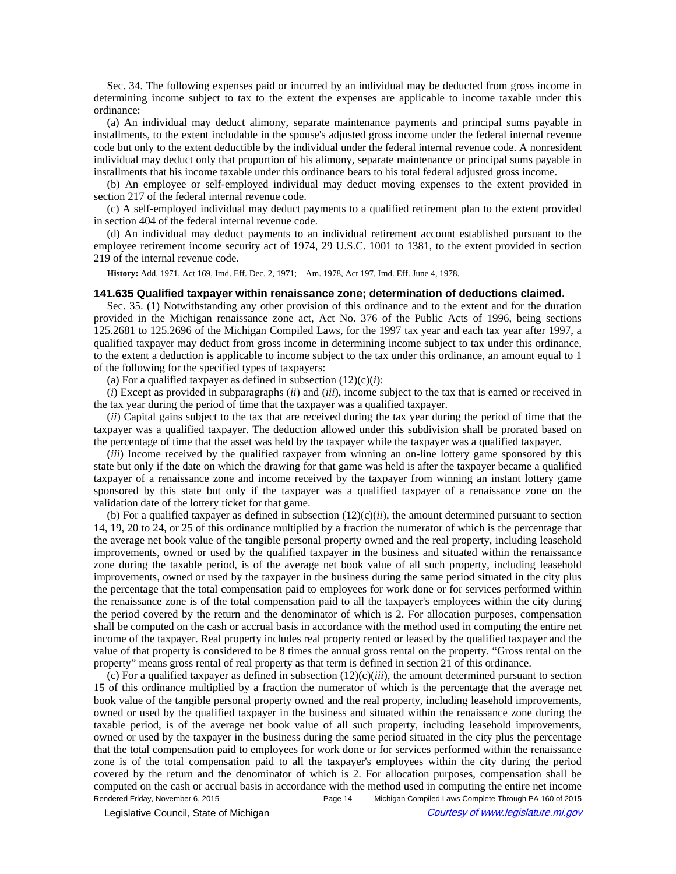Sec. 34. The following expenses paid or incurred by an individual may be deducted from gross income in determining income subject to tax to the extent the expenses are applicable to income taxable under this ordinance:

(a) An individual may deduct alimony, separate maintenance payments and principal sums payable in installments, to the extent includable in the spouse's adjusted gross income under the federal internal revenue code but only to the extent deductible by the individual under the federal internal revenue code. A nonresident individual may deduct only that proportion of his alimony, separate maintenance or principal sums payable in installments that his income taxable under this ordinance bears to his total federal adjusted gross income.

(b) An employee or self-employed individual may deduct moving expenses to the extent provided in section 217 of the federal internal revenue code.

(c) A self-employed individual may deduct payments to a qualified retirement plan to the extent provided in section 404 of the federal internal revenue code.

(d) An individual may deduct payments to an individual retirement account established pursuant to the employee retirement income security act of 1974, 29 U.S.C. 1001 to 1381, to the extent provided in section 219 of the internal revenue code.

History: Add. 1971, Act 169, Imd. Eff. Dec. 2, 1971;-- Am. 1978, Act 197, Imd. Eff. June 4, 1978.

#### **141.635 Qualified taxpayer within renaissance zone; determination of deductions claimed.**

Sec. 35. (1) Notwithstanding any other provision of this ordinance and to the extent and for the duration provided in the Michigan renaissance zone act, Act No. 376 of the Public Acts of 1996, being sections 125.2681 to 125.2696 of the Michigan Compiled Laws, for the 1997 tax year and each tax year after 1997, a qualified taxpayer may deduct from gross income in determining income subject to tax under this ordinance, to the extent a deduction is applicable to income subject to the tax under this ordinance, an amount equal to 1 of the following for the specified types of taxpayers:

(a) For a qualified taxpayer as defined in subsection  $(12)(c)(i)$ :

(*i*) Except as provided in subparagraphs (*ii*) and (*iii*), income subject to the tax that is earned or received in the tax year during the period of time that the taxpayer was a qualified taxpayer.

(*ii*) Capital gains subject to the tax that are received during the tax year during the period of time that the taxpayer was a qualified taxpayer. The deduction allowed under this subdivision shall be prorated based on the percentage of time that the asset was held by the taxpayer while the taxpayer was a qualified taxpayer.

(*iii*) Income received by the qualified taxpayer from winning an on-line lottery game sponsored by this state but only if the date on which the drawing for that game was held is after the taxpayer became a qualified taxpayer of a renaissance zone and income received by the taxpayer from winning an instant lottery game sponsored by this state but only if the taxpayer was a qualified taxpayer of a renaissance zone on the validation date of the lottery ticket for that game.

(b) For a qualified taxpayer as defined in subsection  $(12)(c)(ii)$ , the amount determined pursuant to section 14, 19, 20 to 24, or 25 of this ordinance multiplied by a fraction the numerator of which is the percentage that the average net book value of the tangible personal property owned and the real property, including leasehold improvements, owned or used by the qualified taxpayer in the business and situated within the renaissance zone during the taxable period, is of the average net book value of all such property, including leasehold improvements, owned or used by the taxpayer in the business during the same period situated in the city plus the percentage that the total compensation paid to employees for work done or for services performed within the renaissance zone is of the total compensation paid to all the taxpayer's employees within the city during the period covered by the return and the denominator of which is 2. For allocation purposes, compensation shall be computed on the cash or accrual basis in accordance with the method used in computing the entire net income of the taxpayer. Real property includes real property rented or leased by the qualified taxpayer and the value of that property is considered to be 8 times the annual gross rental on the property. "Gross rental on the property" means gross rental of real property as that term is defined in section 21 of this ordinance.

(c) For a qualified taxpayer as defined in subsection  $(12)(c)(iii)$ , the amount determined pursuant to section 15 of this ordinance multiplied by a fraction the numerator of which is the percentage that the average net book value of the tangible personal property owned and the real property, including leasehold improvements, owned or used by the qualified taxpayer in the business and situated within the renaissance zone during the taxable period, is of the average net book value of all such property, including leasehold improvements, owned or used by the taxpayer in the business during the same period situated in the city plus the percentage that the total compensation paid to employees for work done or for services performed within the renaissance zone is of the total compensation paid to all the taxpayer's employees within the city during the period covered by the return and the denominator of which is 2. For allocation purposes, compensation shall be computed on the cash or accrual basis in accordance with the method used in computing the entire net income Rendered Friday, November 6, 2015 Page 14 Michigan Compiled Laws Complete Through PA 160 of 2015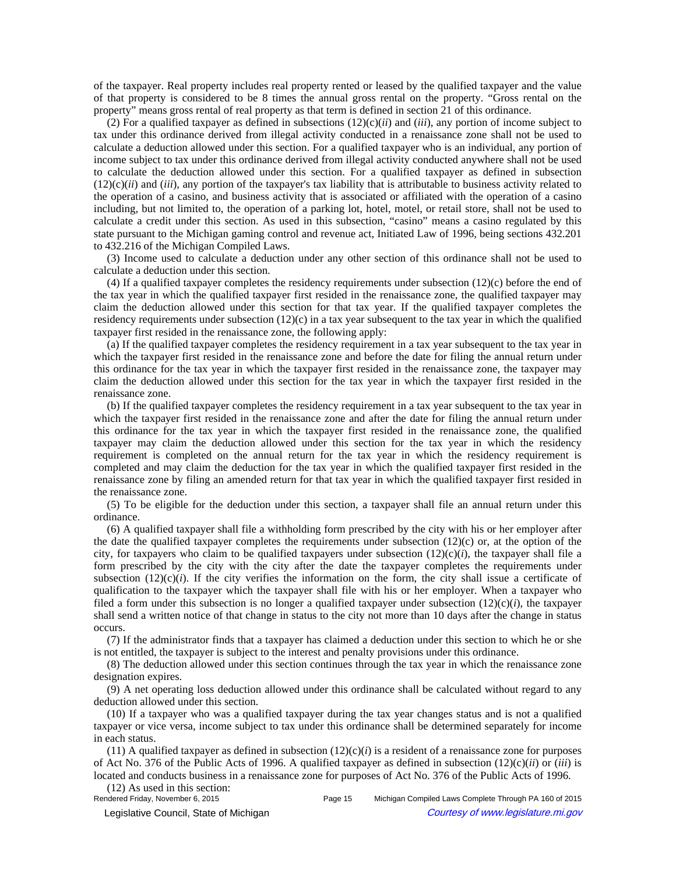of the taxpayer. Real property includes real property rented or leased by the qualified taxpayer and the value of that property is considered to be 8 times the annual gross rental on the property. "Gross rental on the property" means gross rental of real property as that term is defined in section 21 of this ordinance.

(2) For a qualified taxpayer as defined in subsections  $(12)(c)(ii)$  and  $(iii)$ , any portion of income subject to tax under this ordinance derived from illegal activity conducted in a renaissance zone shall not be used to calculate a deduction allowed under this section. For a qualified taxpayer who is an individual, any portion of income subject to tax under this ordinance derived from illegal activity conducted anywhere shall not be used to calculate the deduction allowed under this section. For a qualified taxpayer as defined in subsection  $(12)(c)(ii)$  and  $(iii)$ , any portion of the taxpayer's tax liability that is attributable to business activity related to the operation of a casino, and business activity that is associated or affiliated with the operation of a casino including, but not limited to, the operation of a parking lot, hotel, motel, or retail store, shall not be used to calculate a credit under this section. As used in this subsection, "casino" means a casino regulated by this state pursuant to the Michigan gaming control and revenue act, Initiated Law of 1996, being sections 432.201 to 432.216 of the Michigan Compiled Laws.

(3) Income used to calculate a deduction under any other section of this ordinance shall not be used to calculate a deduction under this section.

(4) If a qualified taxpayer completes the residency requirements under subsection (12)(c) before the end of the tax year in which the qualified taxpayer first resided in the renaissance zone, the qualified taxpayer may claim the deduction allowed under this section for that tax year. If the qualified taxpayer completes the residency requirements under subsection  $(12)(c)$  in a tax year subsequent to the tax year in which the qualified taxpayer first resided in the renaissance zone, the following apply:

(a) If the qualified taxpayer completes the residency requirement in a tax year subsequent to the tax year in which the taxpayer first resided in the renaissance zone and before the date for filing the annual return under this ordinance for the tax year in which the taxpayer first resided in the renaissance zone, the taxpayer may claim the deduction allowed under this section for the tax year in which the taxpayer first resided in the renaissance zone.

(b) If the qualified taxpayer completes the residency requirement in a tax year subsequent to the tax year in which the taxpayer first resided in the renaissance zone and after the date for filing the annual return under this ordinance for the tax year in which the taxpayer first resided in the renaissance zone, the qualified taxpayer may claim the deduction allowed under this section for the tax year in which the residency requirement is completed on the annual return for the tax year in which the residency requirement is completed and may claim the deduction for the tax year in which the qualified taxpayer first resided in the renaissance zone by filing an amended return for that tax year in which the qualified taxpayer first resided in the renaissance zone.

(5) To be eligible for the deduction under this section, a taxpayer shall file an annual return under this ordinance.

(6) A qualified taxpayer shall file a withholding form prescribed by the city with his or her employer after the date the qualified taxpayer completes the requirements under subsection  $(12)(c)$  or, at the option of the city, for taxpayers who claim to be qualified taxpayers under subsection  $(12)(c)(i)$ , the taxpayer shall file a form prescribed by the city with the city after the date the taxpayer completes the requirements under subsection  $(12)(c)(i)$ . If the city verifies the information on the form, the city shall issue a certificate of qualification to the taxpayer which the taxpayer shall file with his or her employer. When a taxpayer who filed a form under this subsection is no longer a qualified taxpayer under subsection  $(12)(c)(i)$ , the taxpayer shall send a written notice of that change in status to the city not more than 10 days after the change in status occurs.

(7) If the administrator finds that a taxpayer has claimed a deduction under this section to which he or she is not entitled, the taxpayer is subject to the interest and penalty provisions under this ordinance.

(8) The deduction allowed under this section continues through the tax year in which the renaissance zone designation expires.

(9) A net operating loss deduction allowed under this ordinance shall be calculated without regard to any deduction allowed under this section.

(10) If a taxpayer who was a qualified taxpayer during the tax year changes status and is not a qualified taxpayer or vice versa, income subject to tax under this ordinance shall be determined separately for income in each status.

 $(11)$  A qualified taxpayer as defined in subsection  $(12)(c)(i)$  is a resident of a renaissance zone for purposes of Act No. 376 of the Public Acts of 1996. A qualified taxpayer as defined in subsection (12)(c)(*ii*) or (*iii*) is located and conducts business in a renaissance zone for purposes of Act No. 376 of the Public Acts of 1996.

(12) As used in this section:<br>Rendered Friday, November 6, 2015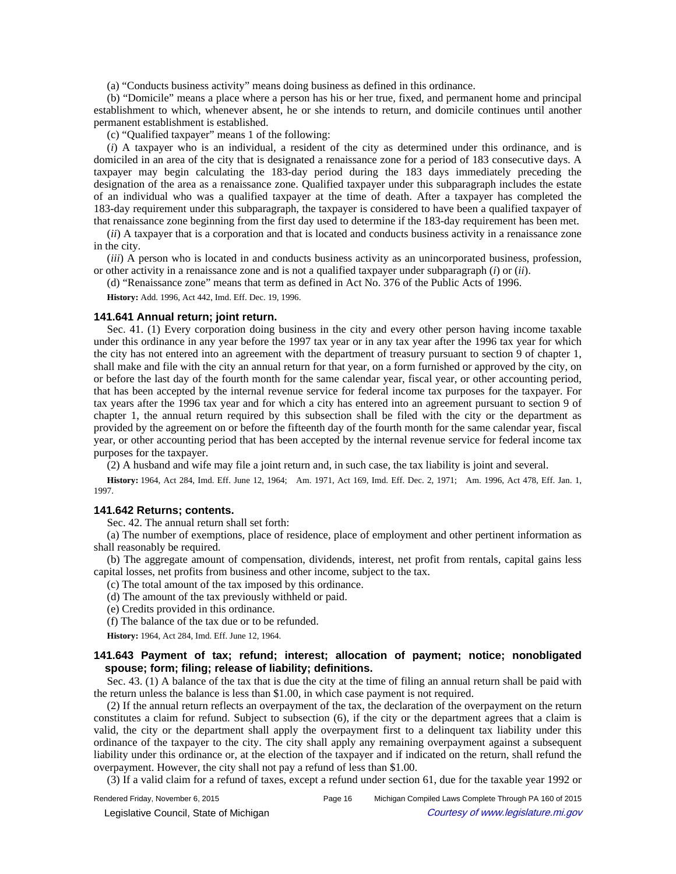(a) "Conducts business activity" means doing business as defined in this ordinance.

(b) "Domicile" means a place where a person has his or her true, fixed, and permanent home and principal establishment to which, whenever absent, he or she intends to return, and domicile continues until another permanent establishment is established.

(c) "Qualified taxpayer" means 1 of the following:

(*i*) A taxpayer who is an individual, a resident of the city as determined under this ordinance, and is domiciled in an area of the city that is designated a renaissance zone for a period of 183 consecutive days. A taxpayer may begin calculating the 183-day period during the 183 days immediately preceding the designation of the area as a renaissance zone. Qualified taxpayer under this subparagraph includes the estate of an individual who was a qualified taxpayer at the time of death. After a taxpayer has completed the 183-day requirement under this subparagraph, the taxpayer is considered to have been a qualified taxpayer of that renaissance zone beginning from the first day used to determine if the 183-day requirement has been met.

(*ii*) A taxpayer that is a corporation and that is located and conducts business activity in a renaissance zone in the city.

(*iii*) A person who is located in and conducts business activity as an unincorporated business, profession, or other activity in a renaissance zone and is not a qualified taxpayer under subparagraph (*i*) or (*ii*).

(d) "Renaissance zone" means that term as defined in Act No. 376 of the Public Acts of 1996.

**History:** Add. 1996, Act 442, Imd. Eff. Dec. 19, 1996.

#### **141.641 Annual return; joint return.**

Sec. 41. (1) Every corporation doing business in the city and every other person having income taxable under this ordinance in any year before the 1997 tax year or in any tax year after the 1996 tax year for which the city has not entered into an agreement with the department of treasury pursuant to section 9 of chapter 1, shall make and file with the city an annual return for that year, on a form furnished or approved by the city, on or before the last day of the fourth month for the same calendar year, fiscal year, or other accounting period, that has been accepted by the internal revenue service for federal income tax purposes for the taxpayer. For tax years after the 1996 tax year and for which a city has entered into an agreement pursuant to section 9 of chapter 1, the annual return required by this subsection shall be filed with the city or the department as provided by the agreement on or before the fifteenth day of the fourth month for the same calendar year, fiscal year, or other accounting period that has been accepted by the internal revenue service for federal income tax purposes for the taxpayer.

(2) A husband and wife may file a joint return and, in such case, the tax liability is joint and several.

History: 1964, Act 284, Imd. Eff. June 12, 1964;
-- Am. 1971, Act 169, Imd. Eff. Dec. 2, 1971;
-- Am. 1996, Act 478, Eff. Jan. 1, 1997.

# **141.642 Returns; contents.**

Sec. 42. The annual return shall set forth:

(a) The number of exemptions, place of residence, place of employment and other pertinent information as shall reasonably be required.

(b) The aggregate amount of compensation, dividends, interest, net profit from rentals, capital gains less capital losses, net profits from business and other income, subject to the tax.

- (c) The total amount of the tax imposed by this ordinance.
- (d) The amount of the tax previously withheld or paid.
- (e) Credits provided in this ordinance.
- (f) The balance of the tax due or to be refunded.

**History:** 1964, Act 284, Imd. Eff. June 12, 1964.

# **141.643 Payment of tax; refund; interest; allocation of payment; notice; nonobligated spouse; form; filing; release of liability; definitions.**

Sec. 43. (1) A balance of the tax that is due the city at the time of filing an annual return shall be paid with the return unless the balance is less than \$1.00, in which case payment is not required.

(2) If the annual return reflects an overpayment of the tax, the declaration of the overpayment on the return constitutes a claim for refund. Subject to subsection (6), if the city or the department agrees that a claim is valid, the city or the department shall apply the overpayment first to a delinquent tax liability under this ordinance of the taxpayer to the city. The city shall apply any remaining overpayment against a subsequent liability under this ordinance or, at the election of the taxpayer and if indicated on the return, shall refund the overpayment. However, the city shall not pay a refund of less than \$1.00.

(3) If a valid claim for a refund of taxes, except a refund under section 61, due for the taxable year 1992 or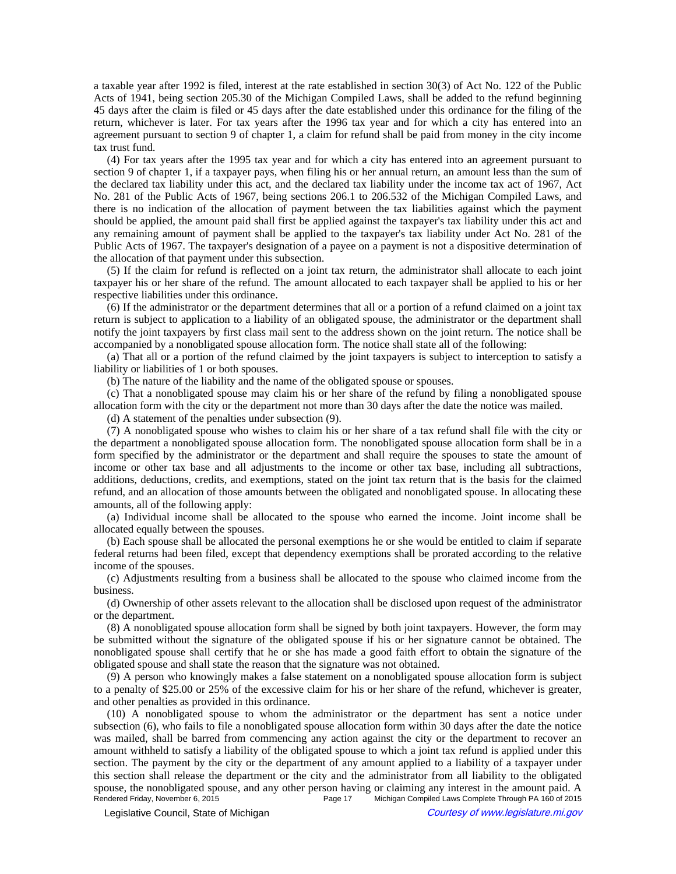a taxable year after 1992 is filed, interest at the rate established in section 30(3) of Act No. 122 of the Public Acts of 1941, being section 205.30 of the Michigan Compiled Laws, shall be added to the refund beginning 45 days after the claim is filed or 45 days after the date established under this ordinance for the filing of the return, whichever is later. For tax years after the 1996 tax year and for which a city has entered into an agreement pursuant to section 9 of chapter 1, a claim for refund shall be paid from money in the city income tax trust fund.

(4) For tax years after the 1995 tax year and for which a city has entered into an agreement pursuant to section 9 of chapter 1, if a taxpayer pays, when filing his or her annual return, an amount less than the sum of the declared tax liability under this act, and the declared tax liability under the income tax act of 1967, Act No. 281 of the Public Acts of 1967, being sections 206.1 to 206.532 of the Michigan Compiled Laws, and there is no indication of the allocation of payment between the tax liabilities against which the payment should be applied, the amount paid shall first be applied against the taxpayer's tax liability under this act and any remaining amount of payment shall be applied to the taxpayer's tax liability under Act No. 281 of the Public Acts of 1967. The taxpayer's designation of a payee on a payment is not a dispositive determination of the allocation of that payment under this subsection.

(5) If the claim for refund is reflected on a joint tax return, the administrator shall allocate to each joint taxpayer his or her share of the refund. The amount allocated to each taxpayer shall be applied to his or her respective liabilities under this ordinance.

(6) If the administrator or the department determines that all or a portion of a refund claimed on a joint tax return is subject to application to a liability of an obligated spouse, the administrator or the department shall notify the joint taxpayers by first class mail sent to the address shown on the joint return. The notice shall be accompanied by a nonobligated spouse allocation form. The notice shall state all of the following:

(a) That all or a portion of the refund claimed by the joint taxpayers is subject to interception to satisfy a liability or liabilities of 1 or both spouses.

(b) The nature of the liability and the name of the obligated spouse or spouses.

(c) That a nonobligated spouse may claim his or her share of the refund by filing a nonobligated spouse allocation form with the city or the department not more than 30 days after the date the notice was mailed.

(d) A statement of the penalties under subsection (9).

(7) A nonobligated spouse who wishes to claim his or her share of a tax refund shall file with the city or the department a nonobligated spouse allocation form. The nonobligated spouse allocation form shall be in a form specified by the administrator or the department and shall require the spouses to state the amount of income or other tax base and all adjustments to the income or other tax base, including all subtractions, additions, deductions, credits, and exemptions, stated on the joint tax return that is the basis for the claimed refund, and an allocation of those amounts between the obligated and nonobligated spouse. In allocating these amounts, all of the following apply:

(a) Individual income shall be allocated to the spouse who earned the income. Joint income shall be allocated equally between the spouses.

(b) Each spouse shall be allocated the personal exemptions he or she would be entitled to claim if separate federal returns had been filed, except that dependency exemptions shall be prorated according to the relative income of the spouses.

(c) Adjustments resulting from a business shall be allocated to the spouse who claimed income from the business.

(d) Ownership of other assets relevant to the allocation shall be disclosed upon request of the administrator or the department.

(8) A nonobligated spouse allocation form shall be signed by both joint taxpayers. However, the form may be submitted without the signature of the obligated spouse if his or her signature cannot be obtained. The nonobligated spouse shall certify that he or she has made a good faith effort to obtain the signature of the obligated spouse and shall state the reason that the signature was not obtained.

(9) A person who knowingly makes a false statement on a nonobligated spouse allocation form is subject to a penalty of \$25.00 or 25% of the excessive claim for his or her share of the refund, whichever is greater, and other penalties as provided in this ordinance.

(10) A nonobligated spouse to whom the administrator or the department has sent a notice under subsection (6), who fails to file a nonobligated spouse allocation form within 30 days after the date the notice was mailed, shall be barred from commencing any action against the city or the department to recover an amount withheld to satisfy a liability of the obligated spouse to which a joint tax refund is applied under this section. The payment by the city or the department of any amount applied to a liability of a taxpayer under this section shall release the department or the city and the administrator from all liability to the obligated spouse, the nonobligated spouse, and any other person having or claiming any interest in the amount paid. A<br>Rendered Friday, November 6, 2015<br>Page 17 Michigan Compiled Laws Complete Through PA 160 of 2015 Michigan Compiled Laws Complete Through PA 160 of 2015

© Legislative Council, State of Michigan Council Courtesy of www.legislature.mi.gov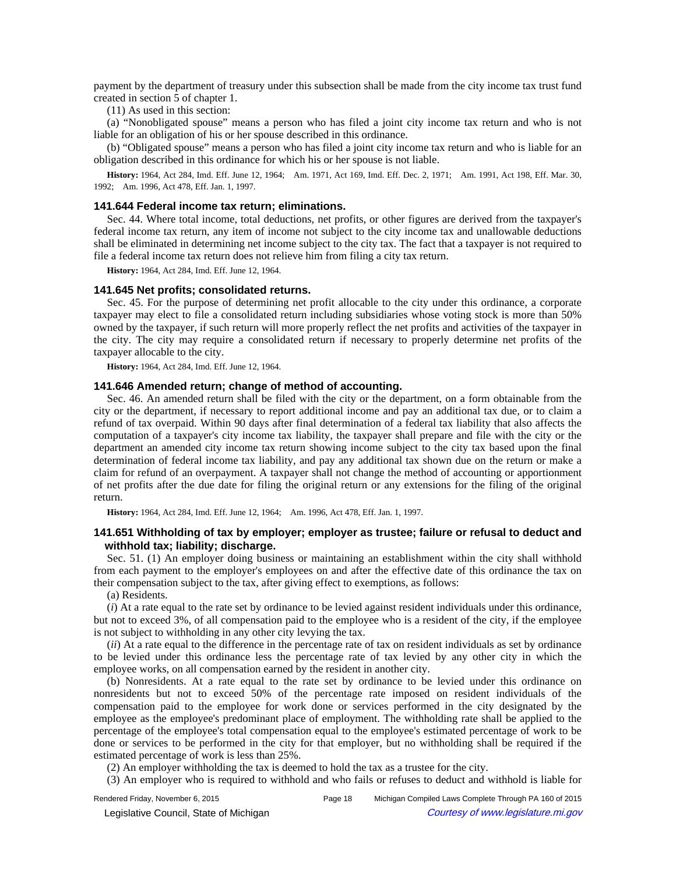payment by the department of treasury under this subsection shall be made from the city income tax trust fund created in section 5 of chapter 1.

(11) As used in this section:

(a) "Nonobligated spouse" means a person who has filed a joint city income tax return and who is not liable for an obligation of his or her spouse described in this ordinance.

(b) "Obligated spouse" means a person who has filed a joint city income tax return and who is liable for an obligation described in this ordinance for which his or her spouse is not liable.

History: 1964, Act 284, Imd. Eff. June 12, 1964;—Am. 1971, Act 169, Imd. Eff. Dec. 2, 1971;—Am. 1991, Act 198, Eff. Mar. 30, 1992; - Am. 1996, Act 478, Eff. Jan. 1, 1997.

### **141.644 Federal income tax return; eliminations.**

Sec. 44. Where total income, total deductions, net profits, or other figures are derived from the taxpayer's federal income tax return, any item of income not subject to the city income tax and unallowable deductions shall be eliminated in determining net income subject to the city tax. The fact that a taxpayer is not required to file a federal income tax return does not relieve him from filing a city tax return.

**History:** 1964, Act 284, Imd. Eff. June 12, 1964.

#### **141.645 Net profits; consolidated returns.**

Sec. 45. For the purpose of determining net profit allocable to the city under this ordinance, a corporate taxpayer may elect to file a consolidated return including subsidiaries whose voting stock is more than 50% owned by the taxpayer, if such return will more properly reflect the net profits and activities of the taxpayer in the city. The city may require a consolidated return if necessary to properly determine net profits of the taxpayer allocable to the city.

**History:** 1964, Act 284, Imd. Eff. June 12, 1964.

### **141.646 Amended return; change of method of accounting.**

Sec. 46. An amended return shall be filed with the city or the department, on a form obtainable from the city or the department, if necessary to report additional income and pay an additional tax due, or to claim a refund of tax overpaid. Within 90 days after final determination of a federal tax liability that also affects the computation of a taxpayer's city income tax liability, the taxpayer shall prepare and file with the city or the department an amended city income tax return showing income subject to the city tax based upon the final determination of federal income tax liability, and pay any additional tax shown due on the return or make a claim for refund of an overpayment. A taxpayer shall not change the method of accounting or apportionment of net profits after the due date for filing the original return or any extensions for the filing of the original return.

History: 1964, Act 284, Imd. Eff. June 12, 1964;**-**Am. 1996, Act 478, Eff. Jan. 1, 1997.

# **141.651 Withholding of tax by employer; employer as trustee; failure or refusal to deduct and withhold tax; liability; discharge.**

Sec. 51. (1) An employer doing business or maintaining an establishment within the city shall withhold from each payment to the employer's employees on and after the effective date of this ordinance the tax on their compensation subject to the tax, after giving effect to exemptions, as follows:

(a) Residents.

(*i*) At a rate equal to the rate set by ordinance to be levied against resident individuals under this ordinance, but not to exceed 3%, of all compensation paid to the employee who is a resident of the city, if the employee is not subject to withholding in any other city levying the tax.

(*ii*) At a rate equal to the difference in the percentage rate of tax on resident individuals as set by ordinance to be levied under this ordinance less the percentage rate of tax levied by any other city in which the employee works, on all compensation earned by the resident in another city.

(b) Nonresidents. At a rate equal to the rate set by ordinance to be levied under this ordinance on nonresidents but not to exceed 50% of the percentage rate imposed on resident individuals of the compensation paid to the employee for work done or services performed in the city designated by the employee as the employee's predominant place of employment. The withholding rate shall be applied to the percentage of the employee's total compensation equal to the employee's estimated percentage of work to be done or services to be performed in the city for that employer, but no withholding shall be required if the estimated percentage of work is less than 25%.

(2) An employer withholding the tax is deemed to hold the tax as a trustee for the city.

(3) An employer who is required to withhold and who fails or refuses to deduct and withhold is liable for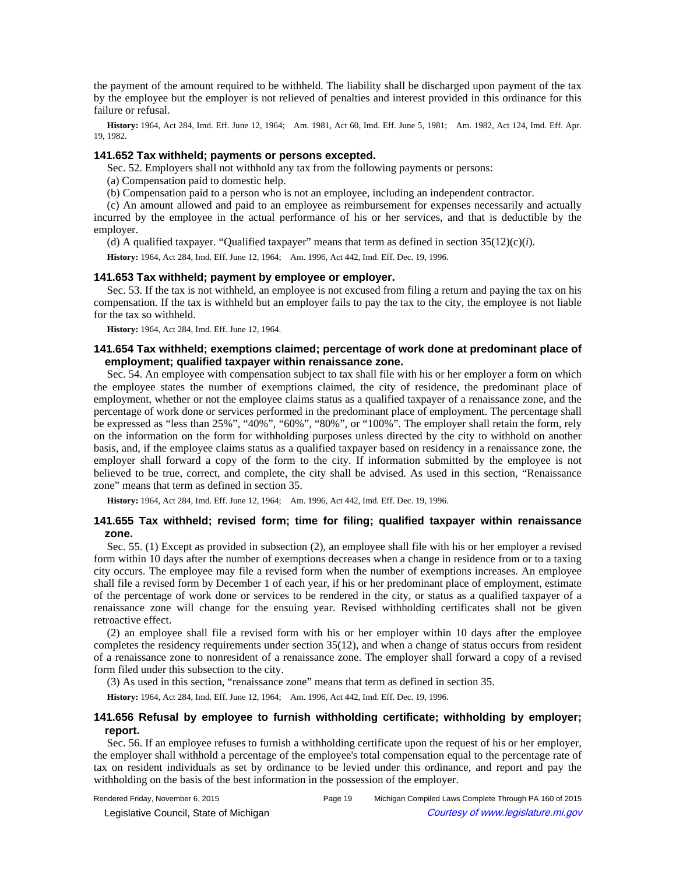the payment of the amount required to be withheld. The liability shall be discharged upon payment of the tax by the employee but the employer is not relieved of penalties and interest provided in this ordinance for this failure or refusal.

History: 1964, Act 284, Imd. Eff. June 12, 1964;—Am. 1981, Act 60, Imd. Eff. June 5, 1981;—Am. 1982, Act 124, Imd. Eff. Apr. 19, 1982.

### **141.652 Tax withheld; payments or persons excepted.**

Sec. 52. Employers shall not withhold any tax from the following payments or persons:

(a) Compensation paid to domestic help.

(b) Compensation paid to a person who is not an employee, including an independent contractor.

(c) An amount allowed and paid to an employee as reimbursement for expenses necessarily and actually incurred by the employee in the actual performance of his or her services, and that is deductible by the employer.

(d) A qualified taxpayer. "Qualified taxpayer" means that term as defined in section  $35(12)(c)(i)$ .

History: 1964, Act 284, Imd. Eff. June 12, 1964;**---**Am. 1996, Act 442, Imd. Eff. Dec. 19, 1996.

#### **141.653 Tax withheld; payment by employee or employer.**

Sec. 53. If the tax is not withheld, an employee is not excused from filing a return and paying the tax on his compensation. If the tax is withheld but an employer fails to pay the tax to the city, the employee is not liable for the tax so withheld.

**History:** 1964, Act 284, Imd. Eff. June 12, 1964.

## **141.654 Tax withheld; exemptions claimed; percentage of work done at predominant place of employment; qualified taxpayer within renaissance zone.**

Sec. 54. An employee with compensation subject to tax shall file with his or her employer a form on which the employee states the number of exemptions claimed, the city of residence, the predominant place of employment, whether or not the employee claims status as a qualified taxpayer of a renaissance zone, and the percentage of work done or services performed in the predominant place of employment. The percentage shall be expressed as "less than 25%", "40%", "60%", "80%", or "100%". The employer shall retain the form, rely on the information on the form for withholding purposes unless directed by the city to withhold on another basis, and, if the employee claims status as a qualified taxpayer based on residency in a renaissance zone, the employer shall forward a copy of the form to the city. If information submitted by the employee is not believed to be true, correct, and complete, the city shall be advised. As used in this section, "Renaissance zone" means that term as defined in section 35.

History: 1964, Act 284, Imd. Eff. June 12, 1964;-Am. 1996, Act 442, Imd. Eff. Dec. 19, 1996.

# **141.655 Tax withheld; revised form; time for filing; qualified taxpayer within renaissance zone.**

Sec. 55. (1) Except as provided in subsection (2), an employee shall file with his or her employer a revised form within 10 days after the number of exemptions decreases when a change in residence from or to a taxing city occurs. The employee may file a revised form when the number of exemptions increases. An employee shall file a revised form by December 1 of each year, if his or her predominant place of employment, estimate of the percentage of work done or services to be rendered in the city, or status as a qualified taxpayer of a renaissance zone will change for the ensuing year. Revised withholding certificates shall not be given retroactive effect.

(2) an employee shall file a revised form with his or her employer within 10 days after the employee completes the residency requirements under section 35(12), and when a change of status occurs from resident of a renaissance zone to nonresident of a renaissance zone. The employer shall forward a copy of a revised form filed under this subsection to the city.

(3) As used in this section, "renaissance zone" means that term as defined in section 35.

History: 1964, Act 284, Imd. Eff. June 12, 1964;**---**Am. 1996, Act 442, Imd. Eff. Dec. 19, 1996.

# **141.656 Refusal by employee to furnish withholding certificate; withholding by employer; report.**

Sec. 56. If an employee refuses to furnish a withholding certificate upon the request of his or her employer, the employer shall withhold a percentage of the employee's total compensation equal to the percentage rate of tax on resident individuals as set by ordinance to be levied under this ordinance, and report and pay the withholding on the basis of the best information in the possession of the employer.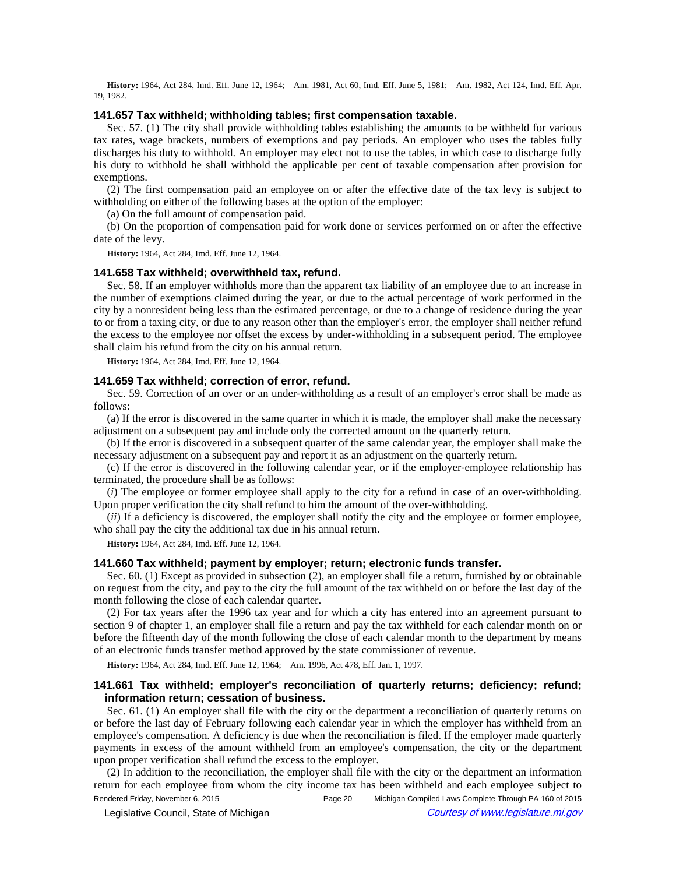History: 1964, Act 284, Imd. Eff. June 12, 1964;- Am. 1981, Act 60, Imd. Eff. June 5, 1981;- Am. 1982, Act 124, Imd. Eff. Apr. 19, 1982.

#### **141.657 Tax withheld; withholding tables; first compensation taxable.**

Sec. 57. (1) The city shall provide withholding tables establishing the amounts to be withheld for various tax rates, wage brackets, numbers of exemptions and pay periods. An employer who uses the tables fully discharges his duty to withhold. An employer may elect not to use the tables, in which case to discharge fully his duty to withhold he shall withhold the applicable per cent of taxable compensation after provision for exemptions.

(2) The first compensation paid an employee on or after the effective date of the tax levy is subject to withholding on either of the following bases at the option of the employer:

(a) On the full amount of compensation paid.

(b) On the proportion of compensation paid for work done or services performed on or after the effective date of the levy.

**History:** 1964, Act 284, Imd. Eff. June 12, 1964.

### **141.658 Tax withheld; overwithheld tax, refund.**

Sec. 58. If an employer withholds more than the apparent tax liability of an employee due to an increase in the number of exemptions claimed during the year, or due to the actual percentage of work performed in the city by a nonresident being less than the estimated percentage, or due to a change of residence during the year to or from a taxing city, or due to any reason other than the employer's error, the employer shall neither refund the excess to the employee nor offset the excess by under-withholding in a subsequent period. The employee shall claim his refund from the city on his annual return.

**History:** 1964, Act 284, Imd. Eff. June 12, 1964.

### **141.659 Tax withheld; correction of error, refund.**

Sec. 59. Correction of an over or an under-withholding as a result of an employer's error shall be made as follows:

(a) If the error is discovered in the same quarter in which it is made, the employer shall make the necessary adjustment on a subsequent pay and include only the corrected amount on the quarterly return.

(b) If the error is discovered in a subsequent quarter of the same calendar year, the employer shall make the necessary adjustment on a subsequent pay and report it as an adjustment on the quarterly return.

(c) If the error is discovered in the following calendar year, or if the employer-employee relationship has terminated, the procedure shall be as follows:

(*i*) The employee or former employee shall apply to the city for a refund in case of an over-withholding. Upon proper verification the city shall refund to him the amount of the over-withholding.

(*ii*) If a deficiency is discovered, the employer shall notify the city and the employee or former employee, who shall pay the city the additional tax due in his annual return.

**History:** 1964, Act 284, Imd. Eff. June 12, 1964.

### **141.660 Tax withheld; payment by employer; return; electronic funds transfer.**

Sec. 60. (1) Except as provided in subsection (2), an employer shall file a return, furnished by or obtainable on request from the city, and pay to the city the full amount of the tax withheld on or before the last day of the month following the close of each calendar quarter.

(2) For tax years after the 1996 tax year and for which a city has entered into an agreement pursuant to section 9 of chapter 1, an employer shall file a return and pay the tax withheld for each calendar month on or before the fifteenth day of the month following the close of each calendar month to the department by means of an electronic funds transfer method approved by the state commissioner of revenue.

History: 1964, Act 284, Imd. Eff. June 12, 1964;-Am. 1996, Act 478, Eff. Jan. 1, 1997.

# **141.661 Tax withheld; employer's reconciliation of quarterly returns; deficiency; refund; information return; cessation of business.**

Sec. 61. (1) An employer shall file with the city or the department a reconciliation of quarterly returns on or before the last day of February following each calendar year in which the employer has withheld from an employee's compensation. A deficiency is due when the reconciliation is filed. If the employer made quarterly payments in excess of the amount withheld from an employee's compensation, the city or the department upon proper verification shall refund the excess to the employer.

(2) In addition to the reconciliation, the employer shall file with the city or the department an information return for each employee from whom the city income tax has been withheld and each employee subject to Rendered Friday, November 6, 2015 Page 20 Michigan Compiled Laws Complete Through PA 160 of 2015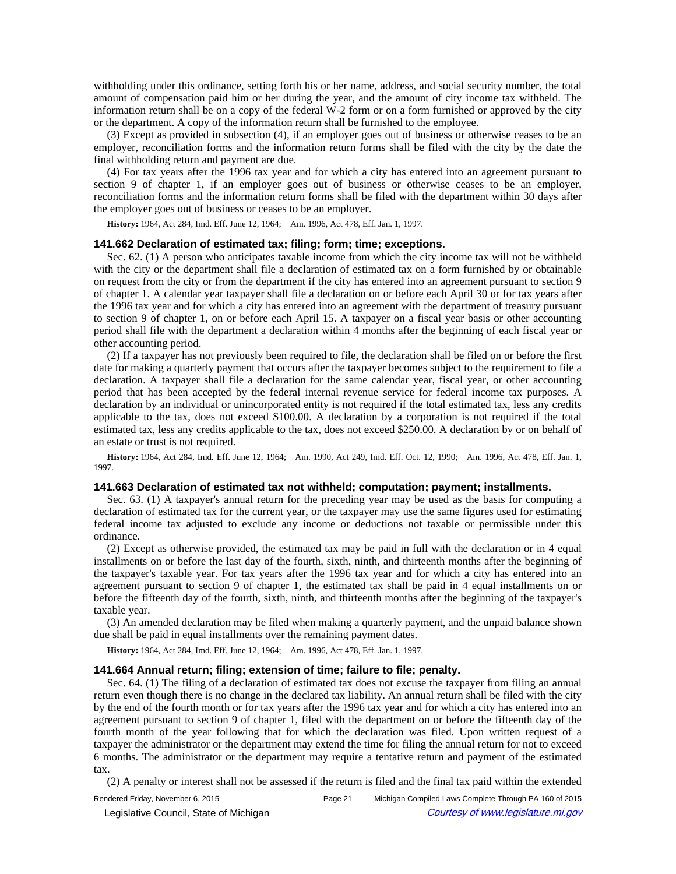withholding under this ordinance, setting forth his or her name, address, and social security number, the total amount of compensation paid him or her during the year, and the amount of city income tax withheld. The information return shall be on a copy of the federal W-2 form or on a form furnished or approved by the city or the department. A copy of the information return shall be furnished to the employee.

(3) Except as provided in subsection (4), if an employer goes out of business or otherwise ceases to be an employer, reconciliation forms and the information return forms shall be filed with the city by the date the final withholding return and payment are due.

(4) For tax years after the 1996 tax year and for which a city has entered into an agreement pursuant to section 9 of chapter 1, if an employer goes out of business or otherwise ceases to be an employer, reconciliation forms and the information return forms shall be filed with the department within 30 days after the employer goes out of business or ceases to be an employer.

History: 1964, Act 284, Imd. Eff. June 12, 1964;-Am. 1996, Act 478, Eff. Jan. 1, 1997.

#### **141.662 Declaration of estimated tax; filing; form; time; exceptions.**

Sec. 62. (1) A person who anticipates taxable income from which the city income tax will not be withheld with the city or the department shall file a declaration of estimated tax on a form furnished by or obtainable on request from the city or from the department if the city has entered into an agreement pursuant to section 9 of chapter 1. A calendar year taxpayer shall file a declaration on or before each April 30 or for tax years after the 1996 tax year and for which a city has entered into an agreement with the department of treasury pursuant to section 9 of chapter 1, on or before each April 15. A taxpayer on a fiscal year basis or other accounting period shall file with the department a declaration within 4 months after the beginning of each fiscal year or other accounting period.

(2) If a taxpayer has not previously been required to file, the declaration shall be filed on or before the first date for making a quarterly payment that occurs after the taxpayer becomes subject to the requirement to file a declaration. A taxpayer shall file a declaration for the same calendar year, fiscal year, or other accounting period that has been accepted by the federal internal revenue service for federal income tax purposes. A declaration by an individual or unincorporated entity is not required if the total estimated tax, less any credits applicable to the tax, does not exceed \$100.00. A declaration by a corporation is not required if the total estimated tax, less any credits applicable to the tax, does not exceed \$250.00. A declaration by or on behalf of an estate or trust is not required.

History: 1964, Act 284, Imd. Eff. June 12, 1964;—Am. 1990, Act 249, Imd. Eff. Oct. 12, 1990;—Am. 1996, Act 478, Eff. Jan. 1, 1997.

#### **141.663 Declaration of estimated tax not withheld; computation; payment; installments.**

Sec. 63. (1) A taxpayer's annual return for the preceding year may be used as the basis for computing a declaration of estimated tax for the current year, or the taxpayer may use the same figures used for estimating federal income tax adjusted to exclude any income or deductions not taxable or permissible under this ordinance.

(2) Except as otherwise provided, the estimated tax may be paid in full with the declaration or in 4 equal installments on or before the last day of the fourth, sixth, ninth, and thirteenth months after the beginning of the taxpayer's taxable year. For tax years after the 1996 tax year and for which a city has entered into an agreement pursuant to section 9 of chapter 1, the estimated tax shall be paid in 4 equal installments on or before the fifteenth day of the fourth, sixth, ninth, and thirteenth months after the beginning of the taxpayer's taxable year.

(3) An amended declaration may be filed when making a quarterly payment, and the unpaid balance shown due shall be paid in equal installments over the remaining payment dates.

History: 1964, Act 284, Imd. Eff. June 12, 1964;-Am. 1996, Act 478, Eff. Jan. 1, 1997.

### **141.664 Annual return; filing; extension of time; failure to file; penalty.**

Sec. 64. (1) The filing of a declaration of estimated tax does not excuse the taxpayer from filing an annual return even though there is no change in the declared tax liability. An annual return shall be filed with the city by the end of the fourth month or for tax years after the 1996 tax year and for which a city has entered into an agreement pursuant to section 9 of chapter 1, filed with the department on or before the fifteenth day of the fourth month of the year following that for which the declaration was filed. Upon written request of a taxpayer the administrator or the department may extend the time for filing the annual return for not to exceed 6 months. The administrator or the department may require a tentative return and payment of the estimated tax.

(2) A penalty or interest shall not be assessed if the return is filed and the final tax paid within the extended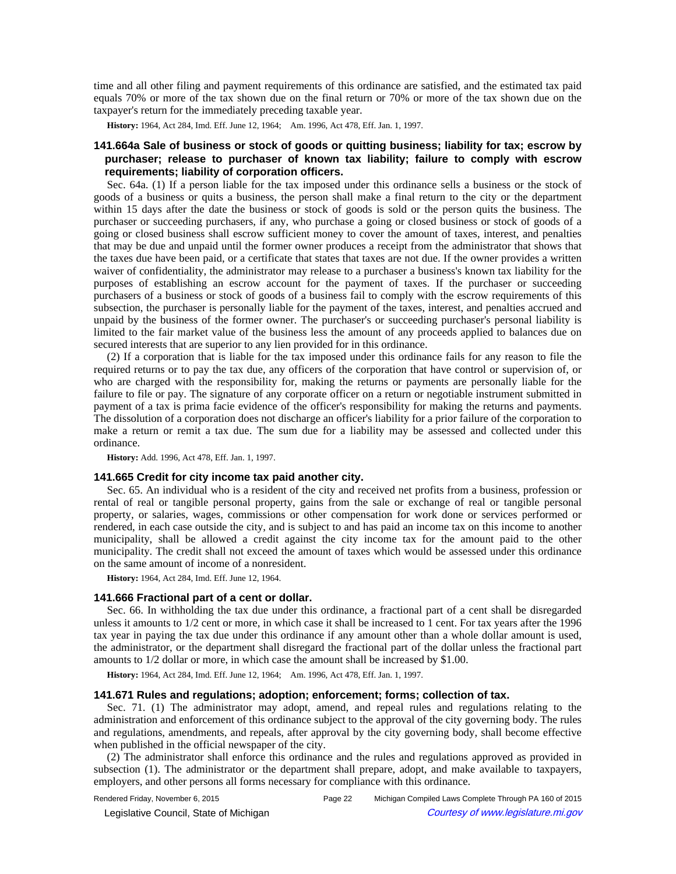time and all other filing and payment requirements of this ordinance are satisfied, and the estimated tax paid equals 70% or more of the tax shown due on the final return or 70% or more of the tax shown due on the taxpayer's return for the immediately preceding taxable year.

**History:** 1964, Act 284, Imd. Eff. June 12, 1964;—Am. 1996, Act 478, Eff. Jan. 1, 1997.

# **141.664a Sale of business or stock of goods or quitting business; liability for tax; escrow by purchaser; release to purchaser of known tax liability; failure to comply with escrow requirements; liability of corporation officers.**

Sec. 64a. (1) If a person liable for the tax imposed under this ordinance sells a business or the stock of goods of a business or quits a business, the person shall make a final return to the city or the department within 15 days after the date the business or stock of goods is sold or the person quits the business. The purchaser or succeeding purchasers, if any, who purchase a going or closed business or stock of goods of a going or closed business shall escrow sufficient money to cover the amount of taxes, interest, and penalties that may be due and unpaid until the former owner produces a receipt from the administrator that shows that the taxes due have been paid, or a certificate that states that taxes are not due. If the owner provides a written waiver of confidentiality, the administrator may release to a purchaser a business's known tax liability for the purposes of establishing an escrow account for the payment of taxes. If the purchaser or succeeding purchasers of a business or stock of goods of a business fail to comply with the escrow requirements of this subsection, the purchaser is personally liable for the payment of the taxes, interest, and penalties accrued and unpaid by the business of the former owner. The purchaser's or succeeding purchaser's personal liability is limited to the fair market value of the business less the amount of any proceeds applied to balances due on secured interests that are superior to any lien provided for in this ordinance.

(2) If a corporation that is liable for the tax imposed under this ordinance fails for any reason to file the required returns or to pay the tax due, any officers of the corporation that have control or supervision of, or who are charged with the responsibility for, making the returns or payments are personally liable for the failure to file or pay. The signature of any corporate officer on a return or negotiable instrument submitted in payment of a tax is prima facie evidence of the officer's responsibility for making the returns and payments. The dissolution of a corporation does not discharge an officer's liability for a prior failure of the corporation to make a return or remit a tax due. The sum due for a liability may be assessed and collected under this ordinance.

**History:** Add. 1996, Act 478, Eff. Jan. 1, 1997.

### **141.665 Credit for city income tax paid another city.**

Sec. 65. An individual who is a resident of the city and received net profits from a business, profession or rental of real or tangible personal property, gains from the sale or exchange of real or tangible personal property, or salaries, wages, commissions or other compensation for work done or services performed or rendered, in each case outside the city, and is subject to and has paid an income tax on this income to another municipality, shall be allowed a credit against the city income tax for the amount paid to the other municipality. The credit shall not exceed the amount of taxes which would be assessed under this ordinance on the same amount of income of a nonresident.

**History:** 1964, Act 284, Imd. Eff. June 12, 1964.

### **141.666 Fractional part of a cent or dollar.**

Sec. 66. In withholding the tax due under this ordinance, a fractional part of a cent shall be disregarded unless it amounts to 1/2 cent or more, in which case it shall be increased to 1 cent. For tax years after the 1996 tax year in paying the tax due under this ordinance if any amount other than a whole dollar amount is used, the administrator, or the department shall disregard the fractional part of the dollar unless the fractional part amounts to 1/2 dollar or more, in which case the amount shall be increased by \$1.00.

History: 1964, Act 284, Imd. Eff. June 12, 1964;-Am. 1996, Act 478, Eff. Jan. 1, 1997.

#### **141.671 Rules and regulations; adoption; enforcement; forms; collection of tax.**

Sec. 71. (1) The administrator may adopt, amend, and repeal rules and regulations relating to the administration and enforcement of this ordinance subject to the approval of the city governing body. The rules and regulations, amendments, and repeals, after approval by the city governing body, shall become effective when published in the official newspaper of the city.

(2) The administrator shall enforce this ordinance and the rules and regulations approved as provided in subsection (1). The administrator or the department shall prepare, adopt, and make available to taxpayers, employers, and other persons all forms necessary for compliance with this ordinance.

Rendered Friday, November 6, 2015 Page 22 Michigan Compiled Laws Complete Through PA 160 of 2015 Legislative Council, State of Michigan Courtesy of www.legislature.mi.gov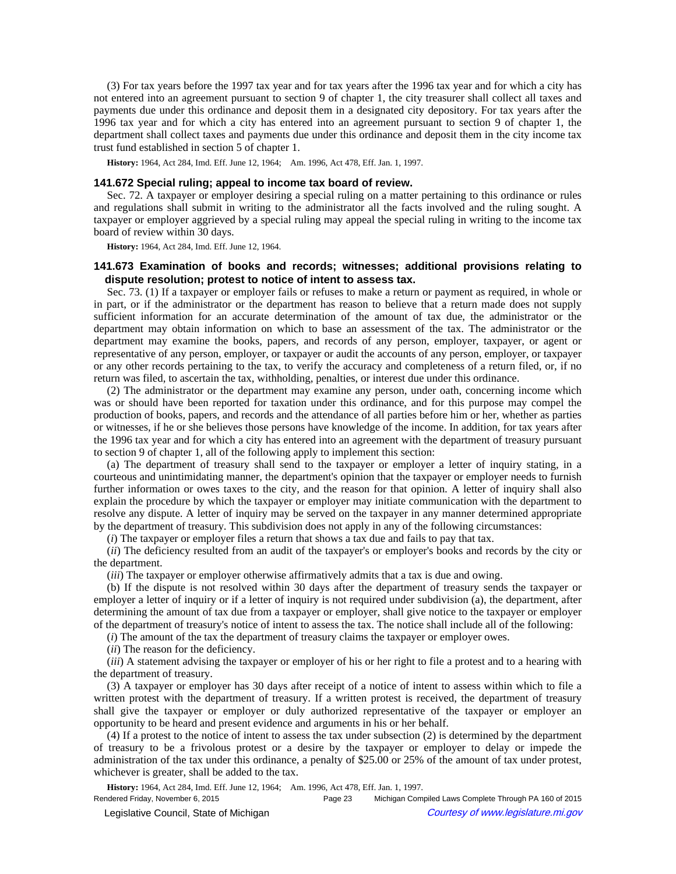(3) For tax years before the 1997 tax year and for tax years after the 1996 tax year and for which a city has not entered into an agreement pursuant to section 9 of chapter 1, the city treasurer shall collect all taxes and payments due under this ordinance and deposit them in a designated city depository. For tax years after the 1996 tax year and for which a city has entered into an agreement pursuant to section 9 of chapter 1, the department shall collect taxes and payments due under this ordinance and deposit them in the city income tax trust fund established in section 5 of chapter 1.

History: 1964, Act 284, Imd. Eff. June 12, 1964;-Am. 1996, Act 478, Eff. Jan. 1, 1997.

### **141.672 Special ruling; appeal to income tax board of review.**

Sec. 72. A taxpayer or employer desiring a special ruling on a matter pertaining to this ordinance or rules and regulations shall submit in writing to the administrator all the facts involved and the ruling sought. A taxpayer or employer aggrieved by a special ruling may appeal the special ruling in writing to the income tax board of review within 30 days.

**History:** 1964, Act 284, Imd. Eff. June 12, 1964.

# **141.673 Examination of books and records; witnesses; additional provisions relating to dispute resolution; protest to notice of intent to assess tax.**

Sec. 73. (1) If a taxpayer or employer fails or refuses to make a return or payment as required, in whole or in part, or if the administrator or the department has reason to believe that a return made does not supply sufficient information for an accurate determination of the amount of tax due, the administrator or the department may obtain information on which to base an assessment of the tax. The administrator or the department may examine the books, papers, and records of any person, employer, taxpayer, or agent or representative of any person, employer, or taxpayer or audit the accounts of any person, employer, or taxpayer or any other records pertaining to the tax, to verify the accuracy and completeness of a return filed, or, if no return was filed, to ascertain the tax, withholding, penalties, or interest due under this ordinance.

(2) The administrator or the department may examine any person, under oath, concerning income which was or should have been reported for taxation under this ordinance, and for this purpose may compel the production of books, papers, and records and the attendance of all parties before him or her, whether as parties or witnesses, if he or she believes those persons have knowledge of the income. In addition, for tax years after the 1996 tax year and for which a city has entered into an agreement with the department of treasury pursuant to section 9 of chapter 1, all of the following apply to implement this section:

(a) The department of treasury shall send to the taxpayer or employer a letter of inquiry stating, in a courteous and unintimidating manner, the department's opinion that the taxpayer or employer needs to furnish further information or owes taxes to the city, and the reason for that opinion. A letter of inquiry shall also explain the procedure by which the taxpayer or employer may initiate communication with the department to resolve any dispute. A letter of inquiry may be served on the taxpayer in any manner determined appropriate by the department of treasury. This subdivision does not apply in any of the following circumstances:

(*i*) The taxpayer or employer files a return that shows a tax due and fails to pay that tax.

(*ii*) The deficiency resulted from an audit of the taxpayer's or employer's books and records by the city or the department.

(*iii*) The taxpayer or employer otherwise affirmatively admits that a tax is due and owing.

(b) If the dispute is not resolved within 30 days after the department of treasury sends the taxpayer or employer a letter of inquiry or if a letter of inquiry is not required under subdivision (a), the department, after determining the amount of tax due from a taxpayer or employer, shall give notice to the taxpayer or employer of the department of treasury's notice of intent to assess the tax. The notice shall include all of the following:

(*i*) The amount of the tax the department of treasury claims the taxpayer or employer owes.

(*ii*) The reason for the deficiency.

(*iii*) A statement advising the taxpayer or employer of his or her right to file a protest and to a hearing with the department of treasury.

(3) A taxpayer or employer has 30 days after receipt of a notice of intent to assess within which to file a written protest with the department of treasury. If a written protest is received, the department of treasury shall give the taxpayer or employer or duly authorized representative of the taxpayer or employer an opportunity to be heard and present evidence and arguments in his or her behalf.

(4) If a protest to the notice of intent to assess the tax under subsection (2) is determined by the department of treasury to be a frivolous protest or a desire by the taxpayer or employer to delay or impede the administration of the tax under this ordinance, a penalty of \$25.00 or 25% of the amount of tax under protest, whichever is greater, shall be added to the tax.

History: 1964, Act 284, Imd. Eff. June 12, 1964;—Am. 1996, Act 478, Eff. Jan. 1, 1997.

Rendered Friday, November 6, 2015 Page 23 Michigan Compiled Laws Complete Through PA 160 of 2015 Legislative Council, State of Michigan Courtesy of www.legislature.mi.gov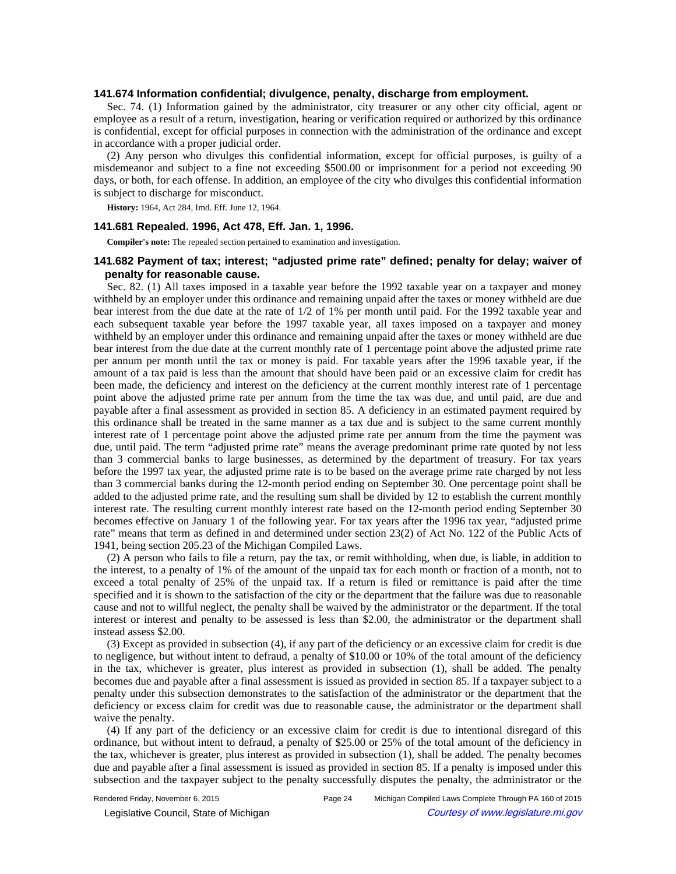### **141.674 Information confidential; divulgence, penalty, discharge from employment.**

Sec. 74. (1) Information gained by the administrator, city treasurer or any other city official, agent or employee as a result of a return, investigation, hearing or verification required or authorized by this ordinance is confidential, except for official purposes in connection with the administration of the ordinance and except in accordance with a proper judicial order.

(2) Any person who divulges this confidential information, except for official purposes, is guilty of a misdemeanor and subject to a fine not exceeding \$500.00 or imprisonment for a period not exceeding 90 days, or both, for each offense. In addition, an employee of the city who divulges this confidential information is subject to discharge for misconduct.

**History:** 1964, Act 284, Imd. Eff. June 12, 1964.

### **141.681 Repealed. 1996, Act 478, Eff. Jan. 1, 1996.**

**Compiler's note:** The repealed section pertained to examination and investigation.

# **141.682 Payment of tax; interest; "adjusted prime rate" defined; penalty for delay; waiver of penalty for reasonable cause.**

Sec. 82. (1) All taxes imposed in a taxable year before the 1992 taxable year on a taxpayer and money withheld by an employer under this ordinance and remaining unpaid after the taxes or money withheld are due bear interest from the due date at the rate of 1/2 of 1% per month until paid. For the 1992 taxable year and each subsequent taxable year before the 1997 taxable year, all taxes imposed on a taxpayer and money withheld by an employer under this ordinance and remaining unpaid after the taxes or money withheld are due bear interest from the due date at the current monthly rate of 1 percentage point above the adjusted prime rate per annum per month until the tax or money is paid. For taxable years after the 1996 taxable year, if the amount of a tax paid is less than the amount that should have been paid or an excessive claim for credit has been made, the deficiency and interest on the deficiency at the current monthly interest rate of 1 percentage point above the adjusted prime rate per annum from the time the tax was due, and until paid, are due and payable after a final assessment as provided in section 85. A deficiency in an estimated payment required by this ordinance shall be treated in the same manner as a tax due and is subject to the same current monthly interest rate of 1 percentage point above the adjusted prime rate per annum from the time the payment was due, until paid. The term "adjusted prime rate" means the average predominant prime rate quoted by not less than 3 commercial banks to large businesses, as determined by the department of treasury. For tax years before the 1997 tax year, the adjusted prime rate is to be based on the average prime rate charged by not less than 3 commercial banks during the 12-month period ending on September 30. One percentage point shall be added to the adjusted prime rate, and the resulting sum shall be divided by 12 to establish the current monthly interest rate. The resulting current monthly interest rate based on the 12-month period ending September 30 becomes effective on January 1 of the following year. For tax years after the 1996 tax year, "adjusted prime rate" means that term as defined in and determined under section 23(2) of Act No. 122 of the Public Acts of 1941, being section 205.23 of the Michigan Compiled Laws.

(2) A person who fails to file a return, pay the tax, or remit withholding, when due, is liable, in addition to the interest, to a penalty of 1% of the amount of the unpaid tax for each month or fraction of a month, not to exceed a total penalty of 25% of the unpaid tax. If a return is filed or remittance is paid after the time specified and it is shown to the satisfaction of the city or the department that the failure was due to reasonable cause and not to willful neglect, the penalty shall be waived by the administrator or the department. If the total interest or interest and penalty to be assessed is less than \$2.00, the administrator or the department shall instead assess \$2.00.

(3) Except as provided in subsection (4), if any part of the deficiency or an excessive claim for credit is due to negligence, but without intent to defraud, a penalty of \$10.00 or 10% of the total amount of the deficiency in the tax, whichever is greater, plus interest as provided in subsection (1), shall be added. The penalty becomes due and payable after a final assessment is issued as provided in section 85. If a taxpayer subject to a penalty under this subsection demonstrates to the satisfaction of the administrator or the department that the deficiency or excess claim for credit was due to reasonable cause, the administrator or the department shall waive the penalty.

(4) If any part of the deficiency or an excessive claim for credit is due to intentional disregard of this ordinance, but without intent to defraud, a penalty of \$25.00 or 25% of the total amount of the deficiency in the tax, whichever is greater, plus interest as provided in subsection (1), shall be added. The penalty becomes due and payable after a final assessment is issued as provided in section 85. If a penalty is imposed under this subsection and the taxpayer subject to the penalty successfully disputes the penalty, the administrator or the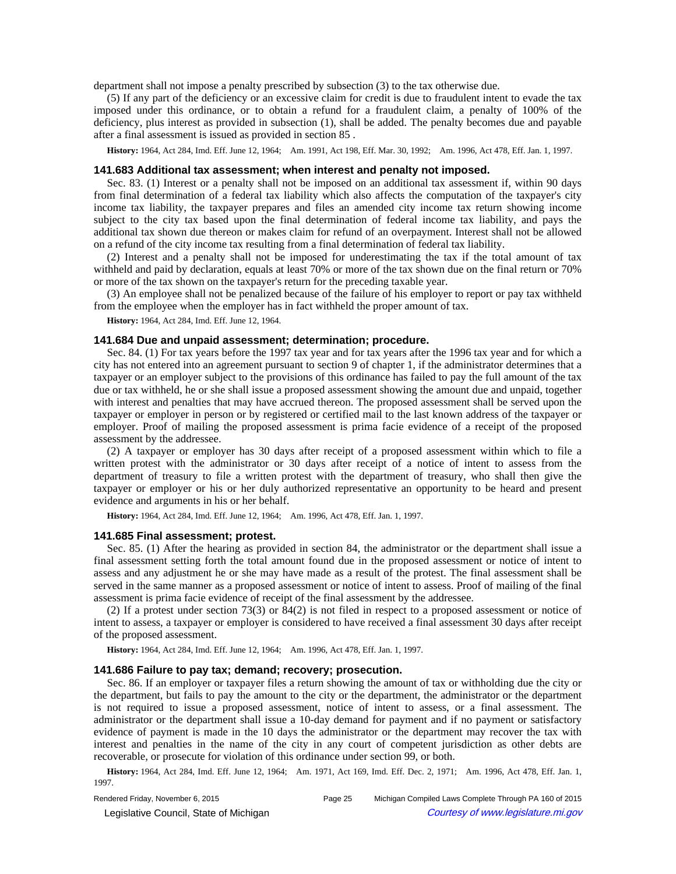department shall not impose a penalty prescribed by subsection (3) to the tax otherwise due.

(5) If any part of the deficiency or an excessive claim for credit is due to fraudulent intent to evade the tax imposed under this ordinance, or to obtain a refund for a fraudulent claim, a penalty of 100% of the deficiency, plus interest as provided in subsection (1), shall be added. The penalty becomes due and payable after a final assessment is issued as provided in section 85 .

History: 1964, Act 284, Imd. Eff. June 12, 1964;—Am. 1991, Act 198, Eff. Mar. 30, 1992;—Am. 1996, Act 478, Eff. Jan. 1, 1997.

## **141.683 Additional tax assessment; when interest and penalty not imposed.**

Sec. 83. (1) Interest or a penalty shall not be imposed on an additional tax assessment if, within 90 days from final determination of a federal tax liability which also affects the computation of the taxpayer's city income tax liability, the taxpayer prepares and files an amended city income tax return showing income subject to the city tax based upon the final determination of federal income tax liability, and pays the additional tax shown due thereon or makes claim for refund of an overpayment. Interest shall not be allowed on a refund of the city income tax resulting from a final determination of federal tax liability.

(2) Interest and a penalty shall not be imposed for underestimating the tax if the total amount of tax withheld and paid by declaration, equals at least 70% or more of the tax shown due on the final return or 70% or more of the tax shown on the taxpayer's return for the preceding taxable year.

(3) An employee shall not be penalized because of the failure of his employer to report or pay tax withheld from the employee when the employer has in fact withheld the proper amount of tax.

**History:** 1964, Act 284, Imd. Eff. June 12, 1964.

#### **141.684 Due and unpaid assessment; determination; procedure.**

Sec. 84. (1) For tax years before the 1997 tax year and for tax years after the 1996 tax year and for which a city has not entered into an agreement pursuant to section 9 of chapter 1, if the administrator determines that a taxpayer or an employer subject to the provisions of this ordinance has failed to pay the full amount of the tax due or tax withheld, he or she shall issue a proposed assessment showing the amount due and unpaid, together with interest and penalties that may have accrued thereon. The proposed assessment shall be served upon the taxpayer or employer in person or by registered or certified mail to the last known address of the taxpayer or employer. Proof of mailing the proposed assessment is prima facie evidence of a receipt of the proposed assessment by the addressee.

(2) A taxpayer or employer has 30 days after receipt of a proposed assessment within which to file a written protest with the administrator or 30 days after receipt of a notice of intent to assess from the department of treasury to file a written protest with the department of treasury, who shall then give the taxpayer or employer or his or her duly authorized representative an opportunity to be heard and present evidence and arguments in his or her behalf.

History: 1964, Act 284, Imd. Eff. June 12, 1964;-Am. 1996, Act 478, Eff. Jan. 1, 1997.

#### **141.685 Final assessment; protest.**

Sec. 85. (1) After the hearing as provided in section 84, the administrator or the department shall issue a final assessment setting forth the total amount found due in the proposed assessment or notice of intent to assess and any adjustment he or she may have made as a result of the protest. The final assessment shall be served in the same manner as a proposed assessment or notice of intent to assess. Proof of mailing of the final assessment is prima facie evidence of receipt of the final assessment by the addressee.

(2) If a protest under section 73(3) or 84(2) is not filed in respect to a proposed assessment or notice of intent to assess, a taxpayer or employer is considered to have received a final assessment 30 days after receipt of the proposed assessment.

History: 1964, Act 284, Imd. Eff. June 12, 1964;-Am. 1996, Act 478, Eff. Jan. 1, 1997.

### **141.686 Failure to pay tax; demand; recovery; prosecution.**

Sec. 86. If an employer or taxpayer files a return showing the amount of tax or withholding due the city or the department, but fails to pay the amount to the city or the department, the administrator or the department is not required to issue a proposed assessment, notice of intent to assess, or a final assessment. The administrator or the department shall issue a 10-day demand for payment and if no payment or satisfactory evidence of payment is made in the 10 days the administrator or the department may recover the tax with interest and penalties in the name of the city in any court of competent jurisdiction as other debts are recoverable, or prosecute for violation of this ordinance under section 99, or both.

History: 1964, Act 284, Imd. Eff. June 12, 1964;
-- Am. 1971, Act 169, Imd. Eff. Dec. 2, 1971;
-- Am. 1996, Act 478, Eff. Jan. 1, 1997.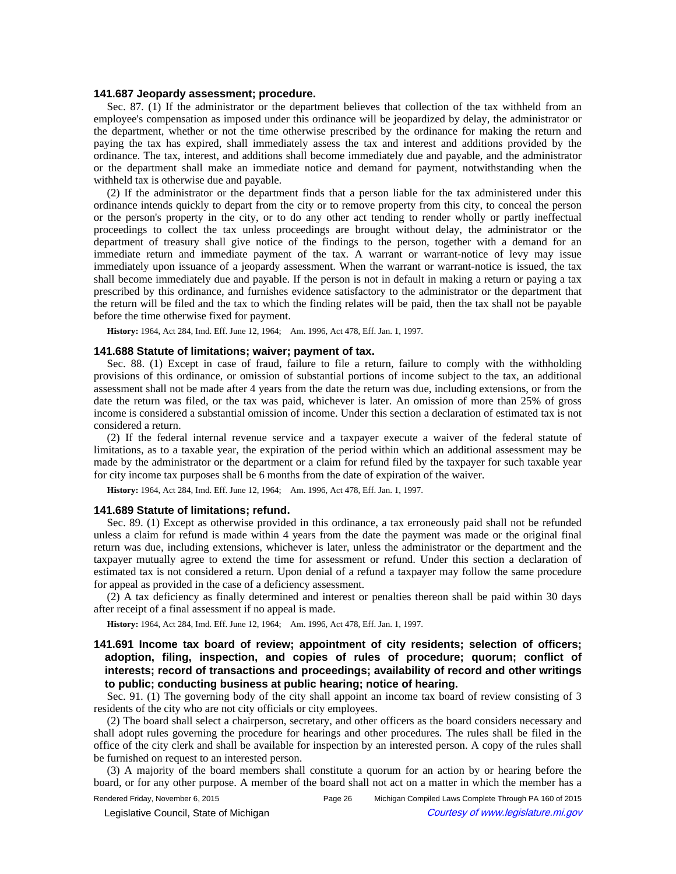### **141.687 Jeopardy assessment; procedure.**

Sec. 87. (1) If the administrator or the department believes that collection of the tax withheld from an employee's compensation as imposed under this ordinance will be jeopardized by delay, the administrator or the department, whether or not the time otherwise prescribed by the ordinance for making the return and paying the tax has expired, shall immediately assess the tax and interest and additions provided by the ordinance. The tax, interest, and additions shall become immediately due and payable, and the administrator or the department shall make an immediate notice and demand for payment, notwithstanding when the withheld tax is otherwise due and payable.

(2) If the administrator or the department finds that a person liable for the tax administered under this ordinance intends quickly to depart from the city or to remove property from this city, to conceal the person or the person's property in the city, or to do any other act tending to render wholly or partly ineffectual proceedings to collect the tax unless proceedings are brought without delay, the administrator or the department of treasury shall give notice of the findings to the person, together with a demand for an immediate return and immediate payment of the tax. A warrant or warrant-notice of levy may issue immediately upon issuance of a jeopardy assessment. When the warrant or warrant-notice is issued, the tax shall become immediately due and payable. If the person is not in default in making a return or paying a tax prescribed by this ordinance, and furnishes evidence satisfactory to the administrator or the department that the return will be filed and the tax to which the finding relates will be paid, then the tax shall not be payable before the time otherwise fixed for payment.

History: 1964, Act 284, Imd. Eff. June 12, 1964;—Am. 1996, Act 478, Eff. Jan. 1, 1997.

#### **141.688 Statute of limitations; waiver; payment of tax.**

Sec. 88. (1) Except in case of fraud, failure to file a return, failure to comply with the withholding provisions of this ordinance, or omission of substantial portions of income subject to the tax, an additional assessment shall not be made after 4 years from the date the return was due, including extensions, or from the date the return was filed, or the tax was paid, whichever is later. An omission of more than 25% of gross income is considered a substantial omission of income. Under this section a declaration of estimated tax is not considered a return.

(2) If the federal internal revenue service and a taxpayer execute a waiver of the federal statute of limitations, as to a taxable year, the expiration of the period within which an additional assessment may be made by the administrator or the department or a claim for refund filed by the taxpayer for such taxable year for city income tax purposes shall be 6 months from the date of expiration of the waiver.

History: 1964, Act 284, Imd. Eff. June 12, 1964;-Am. 1996, Act 478, Eff. Jan. 1, 1997.

### **141.689 Statute of limitations; refund.**

Sec. 89. (1) Except as otherwise provided in this ordinance, a tax erroneously paid shall not be refunded unless a claim for refund is made within 4 years from the date the payment was made or the original final return was due, including extensions, whichever is later, unless the administrator or the department and the taxpayer mutually agree to extend the time for assessment or refund. Under this section a declaration of estimated tax is not considered a return. Upon denial of a refund a taxpayer may follow the same procedure for appeal as provided in the case of a deficiency assessment.

(2) A tax deficiency as finally determined and interest or penalties thereon shall be paid within 30 days after receipt of a final assessment if no appeal is made.

History: 1964, Act 284, Imd. Eff. June 12, 1964; — Am. 1996, Act 478, Eff. Jan. 1, 1997.

# **141.691 Income tax board of review; appointment of city residents; selection of officers; adoption, filing, inspection, and copies of rules of procedure; quorum; conflict of interests; record of transactions and proceedings; availability of record and other writings to public; conducting business at public hearing; notice of hearing.**

Sec. 91. (1) The governing body of the city shall appoint an income tax board of review consisting of 3 residents of the city who are not city officials or city employees.

(2) The board shall select a chairperson, secretary, and other officers as the board considers necessary and shall adopt rules governing the procedure for hearings and other procedures. The rules shall be filed in the office of the city clerk and shall be available for inspection by an interested person. A copy of the rules shall be furnished on request to an interested person.

(3) A majority of the board members shall constitute a quorum for an action by or hearing before the board, or for any other purpose. A member of the board shall not act on a matter in which the member has a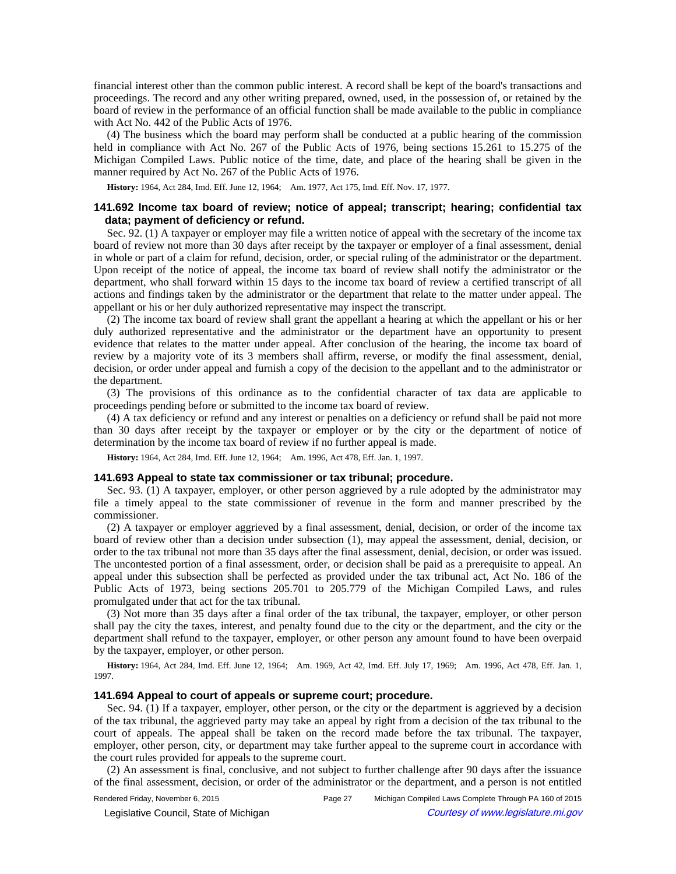financial interest other than the common public interest. A record shall be kept of the board's transactions and proceedings. The record and any other writing prepared, owned, used, in the possession of, or retained by the board of review in the performance of an official function shall be made available to the public in compliance with Act No. 442 of the Public Acts of 1976.

(4) The business which the board may perform shall be conducted at a public hearing of the commission held in compliance with Act No. 267 of the Public Acts of 1976, being sections 15.261 to 15.275 of the Michigan Compiled Laws. Public notice of the time, date, and place of the hearing shall be given in the manner required by Act No. 267 of the Public Acts of 1976.

History: 1964, Act 284, Imd. Eff. June 12, 1964;—Am. 1977, Act 175, Imd. Eff. Nov. 17, 1977.

# **141.692 Income tax board of review; notice of appeal; transcript; hearing; confidential tax data; payment of deficiency or refund.**

Sec. 92. (1) A taxpayer or employer may file a written notice of appeal with the secretary of the income tax board of review not more than 30 days after receipt by the taxpayer or employer of a final assessment, denial in whole or part of a claim for refund, decision, order, or special ruling of the administrator or the department. Upon receipt of the notice of appeal, the income tax board of review shall notify the administrator or the department, who shall forward within 15 days to the income tax board of review a certified transcript of all actions and findings taken by the administrator or the department that relate to the matter under appeal. The appellant or his or her duly authorized representative may inspect the transcript.

(2) The income tax board of review shall grant the appellant a hearing at which the appellant or his or her duly authorized representative and the administrator or the department have an opportunity to present evidence that relates to the matter under appeal. After conclusion of the hearing, the income tax board of review by a majority vote of its 3 members shall affirm, reverse, or modify the final assessment, denial, decision, or order under appeal and furnish a copy of the decision to the appellant and to the administrator or the department.

(3) The provisions of this ordinance as to the confidential character of tax data are applicable to proceedings pending before or submitted to the income tax board of review.

(4) A tax deficiency or refund and any interest or penalties on a deficiency or refund shall be paid not more than 30 days after receipt by the taxpayer or employer or by the city or the department of notice of determination by the income tax board of review if no further appeal is made.

History: 1964, Act 284, Imd. Eff. June 12, 1964;-Am. 1996, Act 478, Eff. Jan. 1, 1997.

## **141.693 Appeal to state tax commissioner or tax tribunal; procedure.**

Sec. 93. (1) A taxpayer, employer, or other person aggrieved by a rule adopted by the administrator may file a timely appeal to the state commissioner of revenue in the form and manner prescribed by the commissioner.

(2) A taxpayer or employer aggrieved by a final assessment, denial, decision, or order of the income tax board of review other than a decision under subsection (1), may appeal the assessment, denial, decision, or order to the tax tribunal not more than 35 days after the final assessment, denial, decision, or order was issued. The uncontested portion of a final assessment, order, or decision shall be paid as a prerequisite to appeal. An appeal under this subsection shall be perfected as provided under the tax tribunal act, Act No. 186 of the Public Acts of 1973, being sections 205.701 to 205.779 of the Michigan Compiled Laws, and rules promulgated under that act for the tax tribunal.

(3) Not more than 35 days after a final order of the tax tribunal, the taxpayer, employer, or other person shall pay the city the taxes, interest, and penalty found due to the city or the department, and the city or the department shall refund to the taxpayer, employer, or other person any amount found to have been overpaid by the taxpayer, employer, or other person.

History: 1964, Act 284, Imd. Eff. June 12, 1964;
-- Am. 1969, Act 42, Imd. Eff. July 17, 1969;
-- Am. 1996, Act 478, Eff. Jan. 1, 1997.

#### **141.694 Appeal to court of appeals or supreme court; procedure.**

Sec. 94. (1) If a taxpayer, employer, other person, or the city or the department is aggrieved by a decision of the tax tribunal, the aggrieved party may take an appeal by right from a decision of the tax tribunal to the court of appeals. The appeal shall be taken on the record made before the tax tribunal. The taxpayer, employer, other person, city, or department may take further appeal to the supreme court in accordance with the court rules provided for appeals to the supreme court.

(2) An assessment is final, conclusive, and not subject to further challenge after 90 days after the issuance of the final assessment, decision, or order of the administrator or the department, and a person is not entitled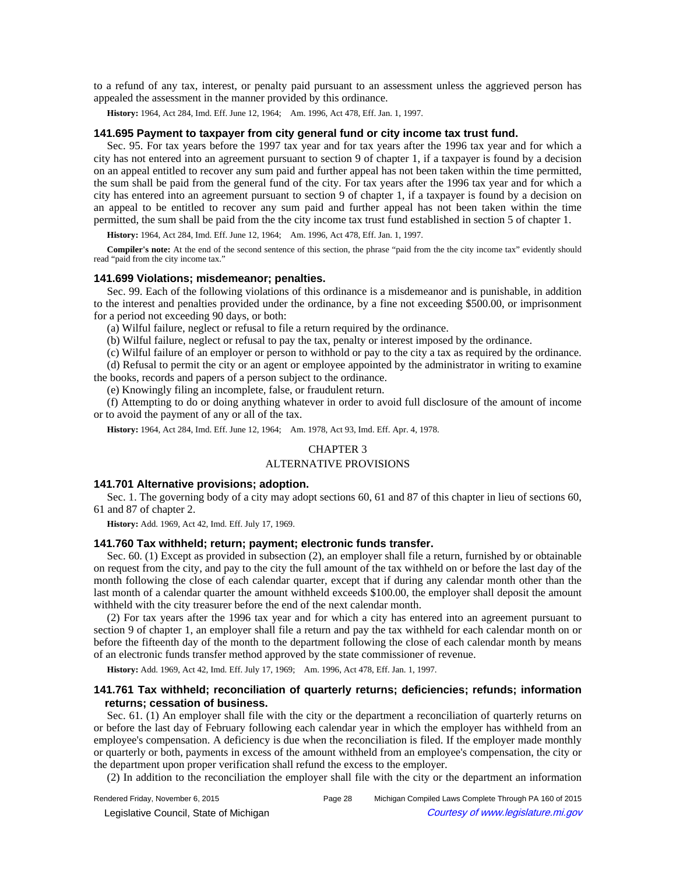to a refund of any tax, interest, or penalty paid pursuant to an assessment unless the aggrieved person has appealed the assessment in the manner provided by this ordinance.

History: 1964, Act 284, Imd. Eff. June 12, 1964;-Am. 1996, Act 478, Eff. Jan. 1, 1997.

#### **141.695 Payment to taxpayer from city general fund or city income tax trust fund.**

Sec. 95. For tax years before the 1997 tax year and for tax years after the 1996 tax year and for which a city has not entered into an agreement pursuant to section 9 of chapter 1, if a taxpayer is found by a decision on an appeal entitled to recover any sum paid and further appeal has not been taken within the time permitted, the sum shall be paid from the general fund of the city. For tax years after the 1996 tax year and for which a city has entered into an agreement pursuant to section 9 of chapter 1, if a taxpayer is found by a decision on an appeal to be entitled to recover any sum paid and further appeal has not been taken within the time permitted, the sum shall be paid from the the city income tax trust fund established in section 5 of chapter 1.

History: 1964, Act 284, Imd. Eff. June 12, 1964;—Am. 1996, Act 478, Eff. Jan. 1, 1997.

**Compiler's note:** At the end of the second sentence of this section, the phrase "paid from the the city income tax" evidently should read "paid from the city income tax."

### **141.699 Violations; misdemeanor; penalties.**

Sec. 99. Each of the following violations of this ordinance is a misdemeanor and is punishable, in addition to the interest and penalties provided under the ordinance, by a fine not exceeding \$500.00, or imprisonment for a period not exceeding 90 days, or both:

(a) Wilful failure, neglect or refusal to file a return required by the ordinance.

(b) Wilful failure, neglect or refusal to pay the tax, penalty or interest imposed by the ordinance.

(c) Wilful failure of an employer or person to withhold or pay to the city a tax as required by the ordinance.

(d) Refusal to permit the city or an agent or employee appointed by the administrator in writing to examine the books, records and papers of a person subject to the ordinance.

(e) Knowingly filing an incomplete, false, or fraudulent return.

(f) Attempting to do or doing anything whatever in order to avoid full disclosure of the amount of income or to avoid the payment of any or all of the tax.

History: 1964, Act 284, Imd. Eff. June 12, 1964;-Am. 1978, Act 93, Imd. Eff. Apr. 4, 1978.

## CHAPTER 3

## ALTERNATIVE PROVISIONS

### **141.701 Alternative provisions; adoption.**

Sec. 1. The governing body of a city may adopt sections 60, 61 and 87 of this chapter in lieu of sections 60, 61 and 87 of chapter 2.

**History:** Add. 1969, Act 42, Imd. Eff. July 17, 1969.

### **141.760 Tax withheld; return; payment; electronic funds transfer.**

Sec. 60. (1) Except as provided in subsection (2), an employer shall file a return, furnished by or obtainable on request from the city, and pay to the city the full amount of the tax withheld on or before the last day of the month following the close of each calendar quarter, except that if during any calendar month other than the last month of a calendar quarter the amount withheld exceeds \$100.00, the employer shall deposit the amount withheld with the city treasurer before the end of the next calendar month.

(2) For tax years after the 1996 tax year and for which a city has entered into an agreement pursuant to section 9 of chapter 1, an employer shall file a return and pay the tax withheld for each calendar month on or before the fifteenth day of the month to the department following the close of each calendar month by means of an electronic funds transfer method approved by the state commissioner of revenue.

History: Add. 1969, Act 42, Imd. Eff. July 17, 1969;- Am. 1996, Act 478, Eff. Jan. 1, 1997.

## **141.761 Tax withheld; reconciliation of quarterly returns; deficiencies; refunds; information returns; cessation of business.**

Sec. 61. (1) An employer shall file with the city or the department a reconciliation of quarterly returns on or before the last day of February following each calendar year in which the employer has withheld from an employee's compensation. A deficiency is due when the reconciliation is filed. If the employer made monthly or quarterly or both, payments in excess of the amount withheld from an employee's compensation, the city or the department upon proper verification shall refund the excess to the employer.

(2) In addition to the reconciliation the employer shall file with the city or the department an information